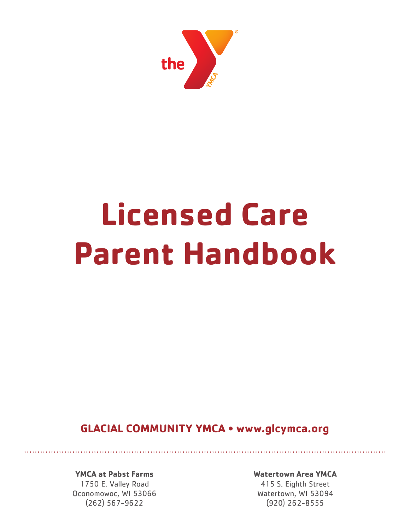

# **Licensed Care Parent Handbook**

**GLACIAL COMMUNITY YMCA • www.glcymca.org**

**YMCA at Pabst Farms**

1750 E. Valley Road Oconomowoc, WI 53066 (262) 567-9622

**Watertown Area YMCA**

415 S. Eighth Street Watertown, WI 53094 (920) 262-8555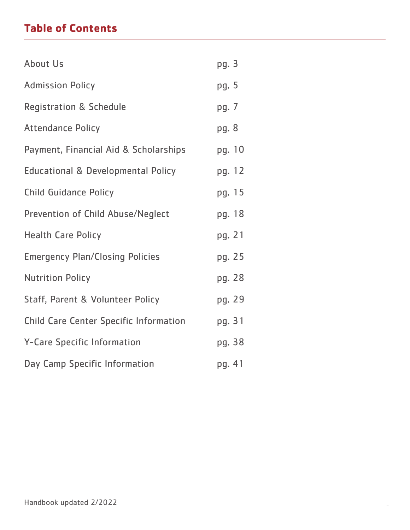# **Table of Contents**

| <b>About Us</b>                               | pg. 3  |
|-----------------------------------------------|--------|
| <b>Admission Policy</b>                       | pg. 5  |
| <b>Registration &amp; Schedule</b>            | pg. 7  |
| <b>Attendance Policy</b>                      | pg. 8  |
| Payment, Financial Aid & Scholarships         | pg. 10 |
| <b>Educational &amp; Developmental Policy</b> | pg. 12 |
| <b>Child Guidance Policy</b>                  | pg. 15 |
| Prevention of Child Abuse/Neglect             | pg. 18 |
| <b>Health Care Policy</b>                     | pg. 21 |
| <b>Emergency Plan/Closing Policies</b>        | pg. 25 |
| <b>Nutrition Policy</b>                       | pg. 28 |
| <b>Staff, Parent &amp; Volunteer Policy</b>   | pg. 29 |
| <b>Child Care Center Specific Information</b> | pg. 31 |
| Y-Care Specific Information                   | pg. 38 |
| Day Camp Specific Information                 | pg. 41 |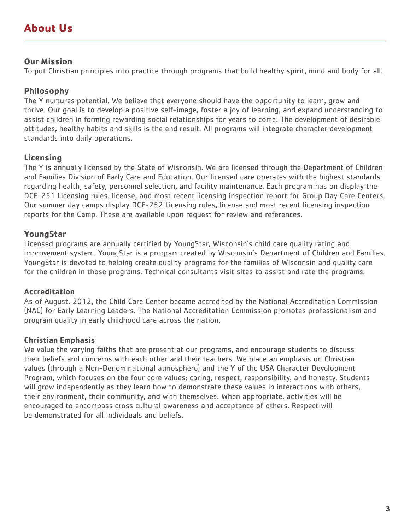### **Our Mission**

To put Christian principles into practice through programs that build healthy spirit, mind and body for all.

# **Philosophy**

The Y nurtures potential. We believe that everyone should have the opportunity to learn, grow and thrive. Our goal is to develop a positive self-image, foster a joy of learning, and expand understanding to assist children in forming rewarding social relationships for years to come. The development of desirable attitudes, healthy habits and skills is the end result. All programs will integrate character development standards into daily operations.

# **Licensing**

The Y is annually licensed by the State of Wisconsin. We are licensed through the Department of Children and Families Division of Early Care and Education. Our licensed care operates with the highest standards regarding health, safety, personnel selection, and facility maintenance. Each program has on display the DCF-251 Licensing rules, license, and most recent licensing inspection report for Group Day Care Centers. Our summer day camps display DCF-252 Licensing rules, license and most recent licensing inspection reports for the Camp. These are available upon request for review and references.

# **YoungStar**

Licensed programs are annually certified by YoungStar, Wisconsin's child care quality rating and improvement system. YoungStar is a program created by Wisconsin's Department of Children and Families. YoungStar is devoted to helping create quality programs for the families of Wisconsin and quality care for the children in those programs. Technical consultants visit sites to assist and rate the programs.

### **Accreditation**

As of August, 2012, the Child Care Center became accredited by the National Accreditation Commission (NAC) for Early Learning Leaders. The National Accreditation Commission promotes professionalism and program quality in early childhood care across the nation.

### **Christian Emphasis**

We value the varying faiths that are present at our programs, and encourage students to discuss their beliefs and concerns with each other and their teachers. We place an emphasis on Christian values (through a Non-Denominational atmosphere) and the Y of the USA Character Development Program, which focuses on the four core values: caring, respect, responsibility, and honesty. Students will grow independently as they learn how to demonstrate these values in interactions with others, their environment, their community, and with themselves. When appropriate, activities will be encouraged to encompass cross cultural awareness and acceptance of others. Respect will be demonstrated for all individuals and beliefs.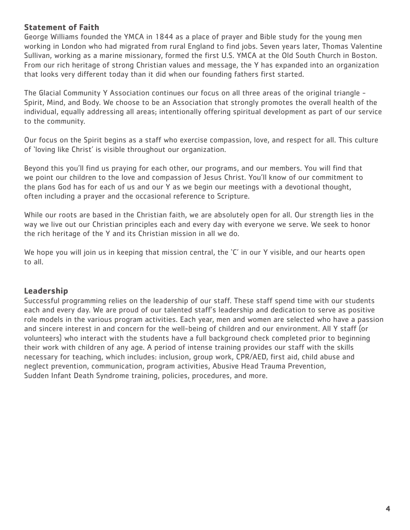### **Statement of Faith**

George Williams founded the YMCA in 1844 as a place of prayer and Bible study for the young men working in London who had migrated from rural England to find jobs. Seven years later, Thomas Valentine Sullivan, working as a marine missionary, formed the first U.S. YMCA at the Old South Church in Boston. From our rich heritage of strong Christian values and message, the Y has expanded into an organization that looks very different today than it did when our founding fathers first started.

The Glacial Community Y Association continues our focus on all three areas of the original triangle - Spirit, Mind, and Body. We choose to be an Association that strongly promotes the overall health of the individual, equally addressing all areas; intentionally offering spiritual development as part of our service to the community.

Our focus on the Spirit begins as a staff who exercise compassion, love, and respect for all. This culture of 'loving like Christ' is visible throughout our organization.

Beyond this you'll find us praying for each other, our programs, and our members. You will find that we point our children to the love and compassion of Jesus Christ. You'll know of our commitment to the plans God has for each of us and our Y as we begin our meetings with a devotional thought, often including a prayer and the occasional reference to Scripture.

While our roots are based in the Christian faith, we are absolutely open for all. Our strength lies in the way we live out our Christian principles each and every day with everyone we serve. We seek to honor the rich heritage of the Y and its Christian mission in all we do.

We hope you will join us in keeping that mission central, the 'C' in our Y visible, and our hearts open to all.

### **Leadership**

Successful programming relies on the leadership of our staff. These staff spend time with our students each and every day. We are proud of our talented staff's leadership and dedication to serve as positive role models in the various program activities. Each year, men and women are selected who have a passion and sincere interest in and concern for the well-being of children and our environment. All Y staff (or volunteers) who interact with the students have a full background check completed prior to beginning their work with children of any age. A period of intense training provides our staff with the skills necessary for teaching, which includes: inclusion, group work, CPR/AED, first aid, child abuse and neglect prevention, communication, program activities, Abusive Head Trauma Prevention, Sudden Infant Death Syndrome training, policies, procedures, and more.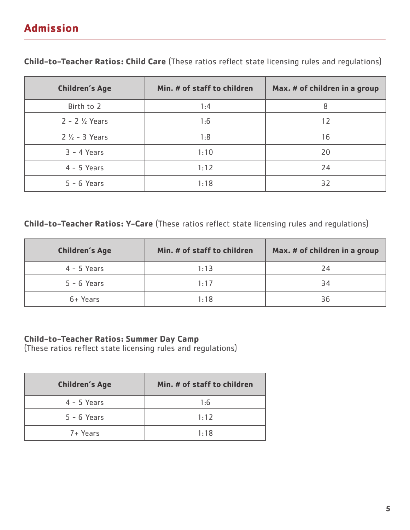# **Admission**

| <b>Children's Age</b>       | Min. # of staff to children | Max. # of children in a group |
|-----------------------------|-----------------------------|-------------------------------|
| Birth to 2                  | 1:4                         | 8                             |
| $2 - 2$ $\frac{1}{2}$ Years | 1:6                         | 12                            |
| $2\frac{1}{2}$ - 3 Years    | 1:8                         | 16                            |
| $3 - 4$ Years               | 1:10                        | 20                            |
| $4 - 5$ Years               | 1:12                        | 24                            |
| $5 - 6$ Years               | 1:18                        | 32                            |

**Child-to-Teacher Ratios: Child Care** (These ratios reflect state licensing rules and regulations)

### **Child-to-Teacher Ratios: Y-Care** (These ratios reflect state licensing rules and regulations)

| <b>Children's Age</b> | Min. # of staff to children | Max. # of children in a group |
|-----------------------|-----------------------------|-------------------------------|
| $4 - 5$ Years         | 1:13                        | 24                            |
| $5 - 6$ Years         | 1:17                        | 34                            |
| 6+ Years              | 1:18                        | 36                            |

### **Child-to-Teacher Ratios: Summer Day Camp**

(These ratios reflect state licensing rules and regulations)

| <b>Children's Age</b> | Min. # of staff to children |
|-----------------------|-----------------------------|
| $4 - 5$ Years         | 1:6                         |
| $5 - 6$ Years         | 1:12                        |
| 7+ Years              | 1:18                        |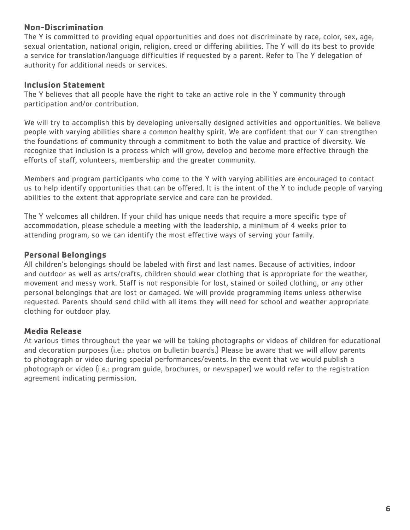### **Non-Discrimination**

The Y is committed to providing equal opportunities and does not discriminate by race, color, sex, age, sexual orientation, national origin, religion, creed or differing abilities. The Y will do its best to provide a service for translation/language difficulties if requested by a parent. Refer to The Y delegation of authority for additional needs or services.

### **Inclusion Statement**

The Y believes that all people have the right to take an active role in the Y community through participation and/or contribution.

We will try to accomplish this by developing universally designed activities and opportunities. We believe people with varying abilities share a common healthy spirit. We are confident that our Y can strengthen the foundations of community through a commitment to both the value and practice of diversity. We recognize that inclusion is a process which will grow, develop and become more effective through the efforts of staff, volunteers, membership and the greater community.

Members and program participants who come to the Y with varying abilities are encouraged to contact us to help identify opportunities that can be offered. It is the intent of the Y to include people of varying abilities to the extent that appropriate service and care can be provided.

The Y welcomes all children. If your child has unique needs that require a more specific type of accommodation, please schedule a meeting with the leadership, a minimum of 4 weeks prior to attending program, so we can identify the most effective ways of serving your family.

### **Personal Belongings**

All children's belongings should be labeled with first and last names. Because of activities, indoor and outdoor as well as arts/crafts, children should wear clothing that is appropriate for the weather, movement and messy work. Staff is not responsible for lost, stained or soiled clothing, or any other personal belongings that are lost or damaged. We will provide programming items unless otherwise requested. Parents should send child with all items they will need for school and weather appropriate clothing for outdoor play.

### **Media Release**

At various times throughout the year we will be taking photographs or videos of children for educational and decoration purposes (i.e.: photos on bulletin boards.) Please be aware that we will allow parents to photograph or video during special performances/events. In the event that we would publish a photograph or video (i.e.: program guide, brochures, or newspaper) we would refer to the registration agreement indicating permission.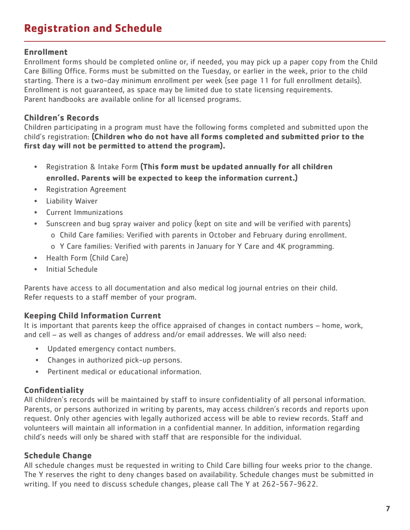# **Registration and Schedule**

### **Enrollment**

Enrollment forms should be completed online or, if needed, you may pick up a paper copy from the Child Care Billing Office. Forms must be submitted on the Tuesday, or earlier in the week, prior to the child starting. There is a two-day minimum enrollment per week (see page 11 for full enrollment details). Enrollment is not guaranteed, as space may be limited due to state licensing requirements. Parent handbooks are available online for all licensed programs.

### **Children's Records**

Children participating in a program must have the following forms completed and submitted upon the child's registration: **(Children who do not have all forms completed and submitted prior to the first day will not be permitted to attend the program).**

- Registration & Intake Form **(This form must be updated annually for all children enrolled. Parents will be expected to keep the information current.)**
- Registration Agreement
- Liability Waiver
- Current Immunizations
- Sunscreen and bug spray waiver and policy (kept on site and will be verified with parents)
	- o Child Care families: Verified with parents in October and February during enrollment.
	- o Y Care families: Verified with parents in January for Y Care and 4K programming.
- Health Form (Child Care)
- Initial Schedule

Parents have access to all documentation and also medical log journal entries on their child. Refer requests to a staff member of your program.

# **Keeping Child Information Current**

It is important that parents keep the office appraised of changes in contact numbers – home, work, and cell – as well as changes of address and/or email addresses. We will also need:

- Updated emergency contact numbers.
- Changes in authorized pick-up persons.
- Pertinent medical or educational information.

# **Confidentiality**

All children's records will be maintained by staff to insure confidentiality of all personal information. Parents, or persons authorized in writing by parents, may access children's records and reports upon request. Only other agencies with legally authorized access will be able to review records. Staff and volunteers will maintain all information in a confidential manner. In addition, information regarding child's needs will only be shared with staff that are responsible for the individual.

### **Schedule Change**

All schedule changes must be requested in writing to Child Care billing four weeks prior to the change. The Y reserves the right to deny changes based on availability. Schedule changes must be submitted in writing. If you need to discuss schedule changes, please call The Y at 262-567-9622.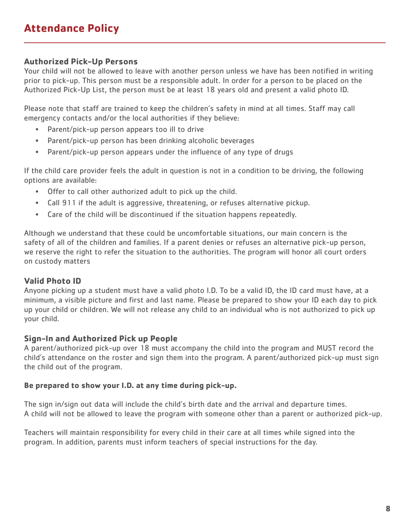# **Authorized Pick-Up Persons**

Your child will not be allowed to leave with another person unless we have has been notified in writing prior to pick-up. This person must be a responsible adult. In order for a person to be placed on the Authorized Pick-Up List, the person must be at least 18 years old and present a valid photo ID.

Please note that staff are trained to keep the children's safety in mind at all times. Staff may call emergency contacts and/or the local authorities if they believe:

- Parent/pick-up person appears too ill to drive
- Parent/pick-up person has been drinking alcoholic beverages
- Parent/pick-up person appears under the influence of any type of drugs

If the child care provider feels the adult in question is not in a condition to be driving, the following options are available:

- Offer to call other authorized adult to pick up the child.
- Call 911 if the adult is aggressive, threatening, or refuses alternative pickup.
- Care of the child will be discontinued if the situation happens repeatedly.

Although we understand that these could be uncomfortable situations, our main concern is the safety of all of the children and families. If a parent denies or refuses an alternative pick-up person, we reserve the right to refer the situation to the authorities. The program will honor all court orders on custody matters

# **Valid Photo ID**

Anyone picking up a student must have a valid photo I.D. To be a valid ID, the ID card must have, at a minimum, a visible picture and first and last name. Please be prepared to show your ID each day to pick up your child or children. We will not release any child to an individual who is not authorized to pick up your child.

### **Sign-In and Authorized Pick up People**

A parent/authorized pick-up over 18 must accompany the child into the program and MUST record the child's attendance on the roster and sign them into the program. A parent/authorized pick-up must sign the child out of the program.

### **Be prepared to show your I.D. at any time during pick-up.**

The sign in/sign out data will include the child's birth date and the arrival and departure times. A child will not be allowed to leave the program with someone other than a parent or authorized pick-up.

Teachers will maintain responsibility for every child in their care at all times while signed into the program. In addition, parents must inform teachers of special instructions for the day.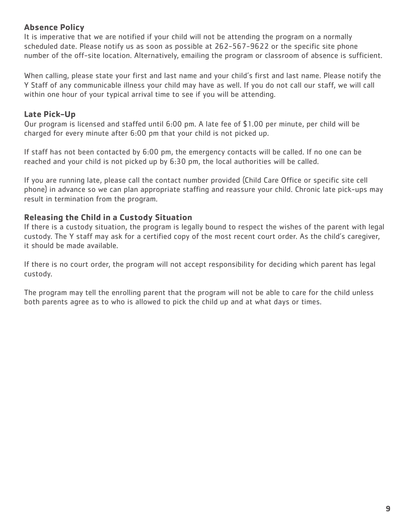# **Absence Policy**

It is imperative that we are notified if your child will not be attending the program on a normally scheduled date. Please notify us as soon as possible at 262-567-9622 or the specific site phone number of the off-site location. Alternatively, emailing the program or classroom of absence is sufficient.

When calling, please state your first and last name and your child's first and last name. Please notify the Y Staff of any communicable illness your child may have as well. If you do not call our staff, we will call within one hour of your typical arrival time to see if you will be attending.

# **Late Pick-Up**

Our program is licensed and staffed until 6:00 pm. A late fee of \$1.00 per minute, per child will be charged for every minute after 6:00 pm that your child is not picked up.

If staff has not been contacted by 6:00 pm, the emergency contacts will be called. If no one can be reached and your child is not picked up by 6:30 pm, the local authorities will be called.

If you are running late, please call the contact number provided (Child Care Office or specific site cell phone) in advance so we can plan appropriate staffing and reassure your child. Chronic late pick-ups may result in termination from the program.

# **Releasing the Child in a Custody Situation**

If there is a custody situation, the program is legally bound to respect the wishes of the parent with legal custody. The Y staff may ask for a certified copy of the most recent court order. As the child's caregiver, it should be made available.

If there is no court order, the program will not accept responsibility for deciding which parent has legal custody.

The program may tell the enrolling parent that the program will not be able to care for the child unless both parents agree as to who is allowed to pick the child up and at what days or times.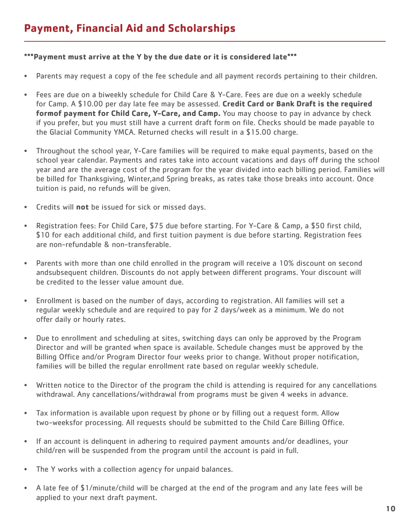### **\*\*\*Payment must arrive at the Y by the due date or it is considered late\*\*\***

- Parents may request a copy of the fee schedule and all payment records pertaining to their children.
- Fees are due on a biweekly schedule for Child Care & Y-Care. Fees are due on a weekly schedule for Camp. A \$10.00 per day late fee may be assessed. **Credit Card or Bank Draft is the required formof payment for Child Care, Y-Care, and Camp.** You may choose to pay in advance by check if you prefer, but you must still have a current draft form on file. Checks should be made payable to the Glacial Community YMCA. Returned checks will result in a \$15.00 charge.
- Throughout the school year, Y-Care families will be required to make equal payments, based on the school year calendar. Payments and rates take into account vacations and days off during the school year and are the average cost of the program for the year divided into each billing period. Families will be billed for Thanksgiving, Winter,and Spring breaks, as rates take those breaks into account. Once tuition is paid, no refunds will be given.
- Credits will **not** be issued for sick or missed days.
- Registration fees: For Child Care, \$75 due before starting. For Y-Care & Camp, a \$50 first child, \$10 for each additional child, and first tuition payment is due before starting. Registration fees are non-refundable & non-transferable.
- Parents with more than one child enrolled in the program will receive a 10% discount on second andsubsequent children. Discounts do not apply between different programs. Your discount will be credited to the lesser value amount due.
- Enrollment is based on the number of days, according to registration. All families will set a regular weekly schedule and are required to pay for 2 days/week as a minimum. We do not offer daily or hourly rates.
- Due to enrollment and scheduling at sites, switching days can only be approved by the Program Director and will be granted when space is available. Schedule changes must be approved by the Billing Office and/or Program Director four weeks prior to change. Without proper notification, families will be billed the regular enrollment rate based on regular weekly schedule.
- Written notice to the Director of the program the child is attending is required for any cancellations withdrawal. Any cancellations/withdrawal from programs must be given 4 weeks in advance.
- Tax information is available upon request by phone or by filling out a request form. Allow two-weeksfor processing. All requests should be submitted to the Child Care Billing Office.
- If an account is delinquent in adhering to required payment amounts and/or deadlines, your child/ren will be suspended from the program until the account is paid in full.
- The Y works with a collection agency for unpaid balances.
- A late fee of \$1/minute/child will be charged at the end of the program and any late fees will be applied to your next draft payment.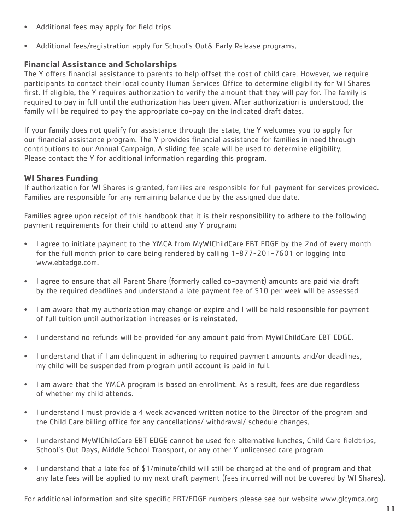- Additional fees may apply for field trips
- Additional fees/registration apply for School's Out& Early Release programs.

# **Financial Assistance and Scholarships**

The Y offers financial assistance to parents to help offset the cost of child care. However, we require participants to contact their local county Human Services Office to determine eligibility for WI Shares first. If eligible, the Y requires authorization to verify the amount that they will pay for. The family is required to pay in full until the authorization has been given. After authorization is understood, the family will be required to pay the appropriate co-pay on the indicated draft dates.

If your family does not qualify for assistance through the state, the Y welcomes you to apply for our financial assistance program. The Y provides financial assistance for families in need through contributions to our Annual Campaign. A sliding fee scale will be used to determine eligibility. Please contact the Y for additional information regarding this program.

# **WI Shares Funding**

If authorization for WI Shares is granted, families are responsible for full payment for services provided. Families are responsible for any remaining balance due by the assigned due date.

Families agree upon receipt of this handbook that it is their responsibility to adhere to the following payment requirements for their child to attend any Y program:

- I agree to initiate payment to the YMCA from MyWIChildCare EBT EDGE by the 2nd of every month for the full month prior to care being rendered by calling 1-877-201-7601 or logging into www.ebtedge.com.
- I agree to ensure that all Parent Share (formerly called co-payment) amounts are paid via draft by the required deadlines and understand a late payment fee of \$10 per week will be assessed.
- I am aware that my authorization may change or expire and I will be held responsible for payment of full tuition until authorization increases or is reinstated.
- I understand no refunds will be provided for any amount paid from MyWIChildCare EBT EDGE.
- I understand that if I am delinquent in adhering to required payment amounts and/or deadlines, my child will be suspended from program until account is paid in full.
- I am aware that the YMCA program is based on enrollment. As a result, fees are due regardless of whether my child attends.
- I understand I must provide a 4 week advanced written notice to the Director of the program and the Child Care billing office for any cancellations/ withdrawal/ schedule changes.
- I understand MyWIChildCare EBT EDGE cannot be used for: alternative lunches, Child Care fieldtrips, School's Out Days, Middle School Transport, or any other Y unlicensed care program.
- I understand that a late fee of \$1/minute/child will still be charged at the end of program and that any late fees will be applied to my next draft payment (fees incurred will not be covered by WI Shares).

For additional information and site specific EBT/EDGE numbers please see our website www.glcymca.org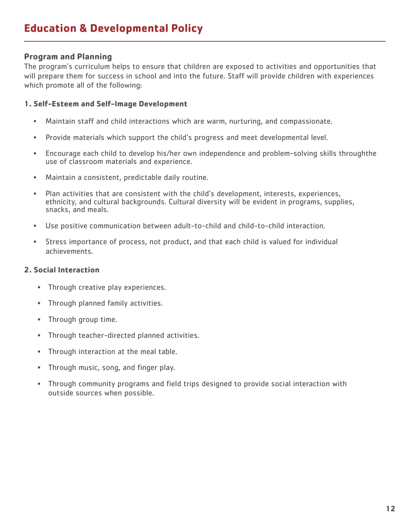### **Program and Planning**

The program's curriculum helps to ensure that children are exposed to activities and opportunities that will prepare them for success in school and into the future. Staff will provide children with experiences which promote all of the following:

#### **1. Self-Esteem and Self-Image Development**

- Maintain staff and child interactions which are warm, nurturing, and compassionate.
- Provide materials which support the child's progress and meet developmental level.
- Encourage each child to develop his/her own independence and problem-solving skills throughthe use of classroom materials and experience.
- Maintain a consistent, predictable daily routine.
- Plan activities that are consistent with the child's development, interests, experiences, ethnicity, and cultural backgrounds. Cultural diversity will be evident in programs, supplies, snacks, and meals.
- Use positive communication between adult-to-child and child-to-child interaction.
- Stress importance of process, not product, and that each child is valued for individual achievements.

### **2. Social Interaction**

- Through creative play experiences.
- Through planned family activities.
- Through group time.
- Through teacher-directed planned activities.
- Through interaction at the meal table.
- Through music, song, and finger play.
- Through community programs and field trips designed to provide social interaction with outside sources when possible.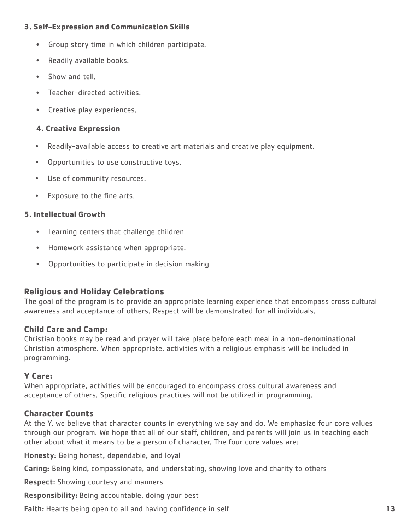### **3. Self-Expression and Communication Skills**

- Group story time in which children participate.
- Readily available books.
- Show and tell.
- Teacher-directed activities.
- Creative play experiences.

### **4. Creative Expression**

- Readily-available access to creative art materials and creative play equipment.
- Opportunities to use constructive toys.
- Use of community resources.
- Exposure to the fine arts.

### **5. Intellectual Growth**

- Learning centers that challenge children.
- Homework assistance when appropriate.
- Opportunities to participate in decision making.

### **Religious and Holiday Celebrations**

The goal of the program is to provide an appropriate learning experience that encompass cross cultural awareness and acceptance of others. Respect will be demonstrated for all individuals.

### **Child Care and Camp:**

Christian books may be read and prayer will take place before each meal in a non-denominational Christian atmosphere. When appropriate, activities with a religious emphasis will be included in programming.

### **Y Care:**

When appropriate, activities will be encouraged to encompass cross cultural awareness and acceptance of others. Specific religious practices will not be utilized in programming.

### **Character Counts**

At the Y, we believe that character counts in everything we say and do. We emphasize four core values through our program. We hope that all of our staff, children, and parents will join us in teaching each other about what it means to be a person of character. The four core values are:

Honesty: Being honest, dependable, and loyal

Caring: Being kind, compassionate, and understating, showing love and charity to others

**Respect:** Showing courtesy and manners

Responsibility: Being accountable, doing your best

Faith: Hearts being open to all and having confidence in self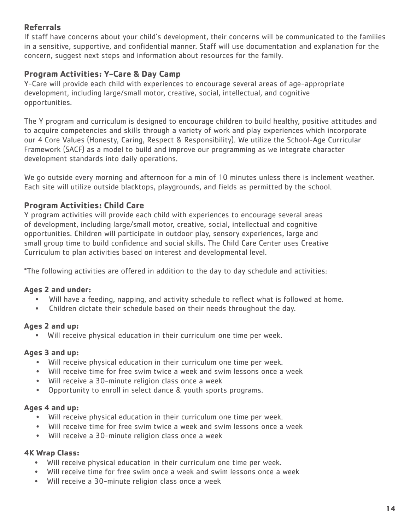# **Referrals**

If staff have concerns about your child's development, their concerns will be communicated to the families in a sensitive, supportive, and confidential manner. Staff will use documentation and explanation for the concern, suggest next steps and information about resources for the family.

# **Program Activities: Y-Care & Day Camp**

Y-Care will provide each child with experiences to encourage several areas of age-appropriate development, including large/small motor, creative, social, intellectual, and cognitive opportunities.

The Y program and curriculum is designed to encourage children to build healthy, positive attitudes and to acquire competencies and skills through a variety of work and play experiences which incorporate our 4 Core Values (Honesty, Caring, Respect & Responsibility). We utilize the School-Age Curricular Framework (SACF) as a model to build and improve our programming as we integrate character development standards into daily operations.

We go outside every morning and afternoon for a min of 10 minutes unless there is inclement weather. Each site will utilize outside blacktops, playgrounds, and fields as permitted by the school.

# **Program Activities: Child Care**

Y program activities will provide each child with experiences to encourage several areas of development, including large/small motor, creative, social, intellectual and cognitive opportunities. Children will participate in outdoor play, sensory experiences, large and small group time to build confidence and social skills. The Child Care Center uses Creative Curriculum to plan activities based on interest and developmental level.

\*The following activities are offered in addition to the day to day schedule and activities:

### **Ages 2 and under:**

- Will have a feeding, napping, and activity schedule to reflect what is followed at home.
- Children dictate their schedule based on their needs throughout the day.

### **Ages 2 and up:**

• Will receive physical education in their curriculum one time per week.

### **Ages 3 and up:**

- Will receive physical education in their curriculum one time per week.
- Will receive time for free swim twice a week and swim lessons once a week
- Will receive a 30-minute religion class once a week
- Opportunity to enroll in select dance & youth sports programs.

### **Ages 4 and up:**

- Will receive physical education in their curriculum one time per week.
- Will receive time for free swim twice a week and swim lessons once a week
- Will receive a 30-minute religion class once a week

### **4K Wrap Class:**

- Will receive physical education in their curriculum one time per week.
- Will receive time for free swim once a week and swim lessons once a week
- Will receive a 30-minute religion class once a week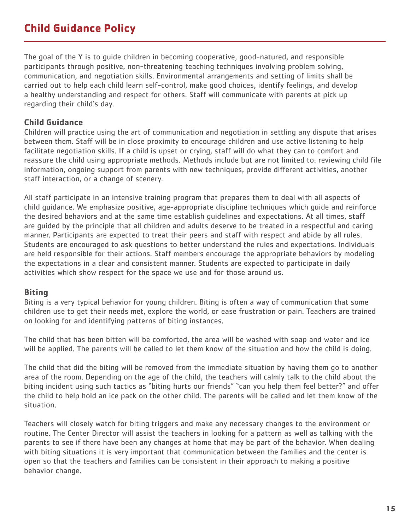# **Child Guidance Policy**

The goal of the Y is to guide children in becoming cooperative, good-natured, and responsible participants through positive, non-threatening teaching techniques involving problem solving, communication, and negotiation skills. Environmental arrangements and setting of limits shall be carried out to help each child learn self-control, make good choices, identify feelings, and develop a healthy understanding and respect for others. Staff will communicate with parents at pick up regarding their child's day.

### **Child Guidance**

Children will practice using the art of communication and negotiation in settling any dispute that arises between them. Staff will be in close proximity to encourage children and use active listening to help facilitate negotiation skills. If a child is upset or crying, staff will do what they can to comfort and reassure the child using appropriate methods. Methods include but are not limited to: reviewing child file information, ongoing support from parents with new techniques, provide different activities, another staff interaction, or a change of scenery.

All staff participate in an intensive training program that prepares them to deal with all aspects of child guidance. We emphasize positive, age-appropriate discipline techniques which guide and reinforce the desired behaviors and at the same time establish guidelines and expectations. At all times, staff are guided by the principle that all children and adults deserve to be treated in a respectful and caring manner. Participants are expected to treat their peers and staff with respect and abide by all rules. Students are encouraged to ask questions to better understand the rules and expectations. Individuals are held responsible for their actions. Staff members encourage the appropriate behaviors by modeling the expectations in a clear and consistent manner. Students are expected to participate in daily activities which show respect for the space we use and for those around us.

### **Biting**

Biting is a very typical behavior for young children. Biting is often a way of communication that some children use to get their needs met, explore the world, or ease frustration or pain. Teachers are trained on looking for and identifying patterns of biting instances.

The child that has been bitten will be comforted, the area will be washed with soap and water and ice will be applied. The parents will be called to let them know of the situation and how the child is doing.

The child that did the biting will be removed from the immediate situation by having them go to another area of the room. Depending on the age of the child, the teachers will calmly talk to the child about the biting incident using such tactics as "biting hurts our friends" "can you help them feel better?" and offer the child to help hold an ice pack on the other child. The parents will be called and let them know of the situation.

Teachers will closely watch for biting triggers and make any necessary changes to the environment or routine. The Center Director will assist the teachers in looking for a pattern as well as talking with the parents to see if there have been any changes at home that may be part of the behavior. When dealing with biting situations it is very important that communication between the families and the center is open so that the teachers and families can be consistent in their approach to making a positive behavior change.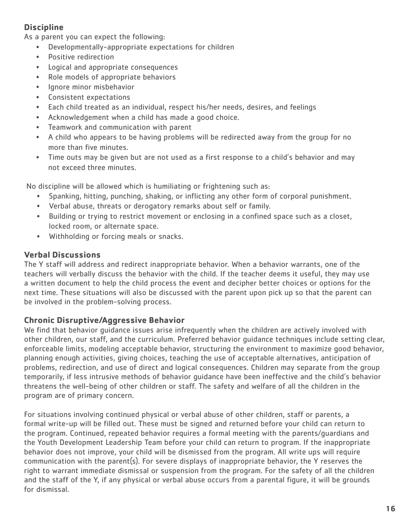# **Discipline**

As a parent you can expect the following:

- Developmentally-appropriate expectations for children
- Positive redirection
- Logical and appropriate consequences
- Role models of appropriate behaviors
- Ignore minor misbehavior
- Consistent expectations
- Each child treated as an individual, respect his/her needs, desires, and feelings
- Acknowledgement when a child has made a good choice.
- Teamwork and communication with parent
- A child who appears to be having problems will be redirected away from the group for no more than five minutes.
- Time outs may be given but are not used as a first response to a child's behavior and may not exceed three minutes.

No discipline will be allowed which is humiliating or frightening such as:

- Spanking, hitting, punching, shaking, or inflicting any other form of corporal punishment.
- Verbal abuse, threats or derogatory remarks about self or family.
- Building or trying to restrict movement or enclosing in a confined space such as a closet, locked room, or alternate space.
- Withholding or forcing meals or snacks.

# **Verbal Discussions**

The Y staff will address and redirect inappropriate behavior. When a behavior warrants, one of the teachers will verbally discuss the behavior with the child. If the teacher deems it useful, they may use a written document to help the child process the event and decipher better choices or options for the next time. These situations will also be discussed with the parent upon pick up so that the parent can be involved in the problem-solving process.

### **Chronic Disruptive/Aggressive Behavior**

We find that behavior guidance issues arise infrequently when the children are actively involved with other children, our staff, and the curriculum. Preferred behavior guidance techniques include setting clear, enforceable limits, modeling acceptable behavior, structuring the environment to maximize good behavior, planning enough activities, giving choices, teaching the use of acceptable alternatives, anticipation of problems, redirection, and use of direct and logical consequences. Children may separate from the group temporarily, if less intrusive methods of behavior guidance have been ineffective and the child's behavior threatens the well-being of other children or staff. The safety and welfare of all the children in the program are of primary concern.

For situations involving continued physical or verbal abuse of other children, staff or parents, a formal write-up will be filled out. These must be signed and returned before your child can return to the program. Continued, repeated behavior requires a formal meeting with the parents/guardians and the Youth Development Leadership Team before your child can return to program. If the inappropriate behavior does not improve, your child will be dismissed from the program. All write ups will require communication with the parent(s). For severe displays of inappropriate behavior, the Y reserves the right to warrant immediate dismissal or suspension from the program. For the safety of all the children and the staff of the Y, if any physical or verbal abuse occurs from a parental figure, it will be grounds for dismissal.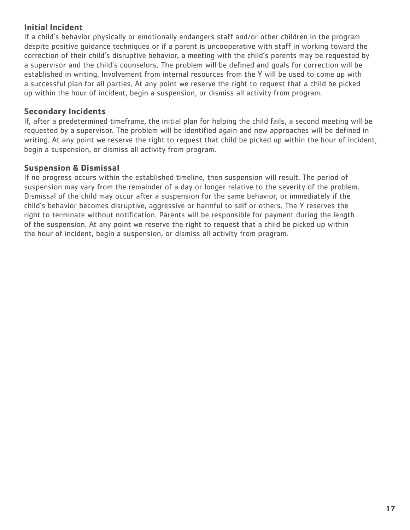### **Initial Incident**

If a child's behavior physically or emotionally endangers staff and/or other children in the program despite positive guidance techniques or if a parent is uncooperative with staff in working toward the correction of their child's disruptive behavior, a meeting with the child's parents may be requested by a supervisor and the child's counselors. The problem will be defined and goals for correction will be established in writing. Involvement from internal resources from the Y will be used to come up with a successful plan for all parties. At any point we reserve the right to request that a child be picked up within the hour of incident, begin a suspension, or dismiss all activity from program.

### **Secondary Incidents**

If, after a predetermined timeframe, the initial plan for helping the child fails, a second meeting will be requested by a supervisor. The problem will be identified again and new approaches will be defined in writing. At any point we reserve the right to request that child be picked up within the hour of incident, begin a suspension, or dismiss all activity from program.

### **Suspension & Dismissal**

If no progress occurs within the established timeline, then suspension will result. The period of suspension may vary from the remainder of a day or longer relative to the severity of the problem. Dismissal of the child may occur after a suspension for the same behavior, or immediately if the child's behavior becomes disruptive, aggressive or harmful to self or others. The Y reserves the right to terminate without notification. Parents will be responsible for payment during the length of the suspension. At any point we reserve the right to request that a child be picked up within the hour of incident, begin a suspension, or dismiss all activity from program.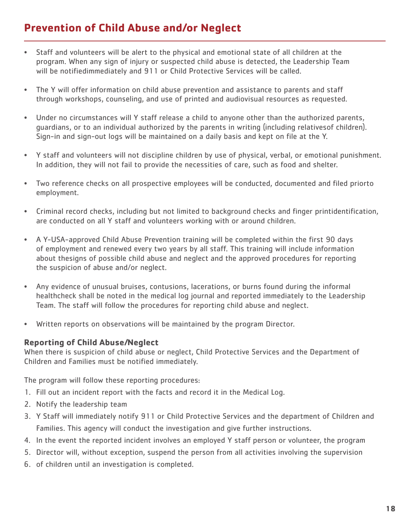# **Prevention of Child Abuse and/or Neglect**

- Staff and volunteers will be alert to the physical and emotional state of all children at the program. When any sign of injury or suspected child abuse is detected, the Leadership Team will be notifiedimmediately and 911 or Child Protective Services will be called.
- The Y will offer information on child abuse prevention and assistance to parents and staff through workshops, counseling, and use of printed and audiovisual resources as requested.
- Under no circumstances will Y staff release a child to anyone other than the authorized parents, guardians, or to an individual authorized by the parents in writing (including relativesof children). Sign-in and sign-out logs will be maintained on a daily basis and kept on file at the Y.
- Y staff and volunteers will not discipline children by use of physical, verbal, or emotional punishment. In addition, they will not fail to provide the necessities of care, such as food and shelter.
- Two reference checks on all prospective employees will be conducted, documented and filed priorto employment.
- Criminal record checks, including but not limited to background checks and finger printidentification, are conducted on all Y staff and volunteers working with or around children.
- A Y-USA-approved Child Abuse Prevention training will be completed within the first 90 days of employment and renewed every two years by all staff. This training will include information about thesigns of possible child abuse and neglect and the approved procedures for reporting the suspicion of abuse and/or neglect.
- Any evidence of unusual bruises, contusions, lacerations, or burns found during the informal healthcheck shall be noted in the medical log journal and reported immediately to the Leadership Team. The staff will follow the procedures for reporting child abuse and neglect.
- Written reports on observations will be maintained by the program Director.

### **Reporting of Child Abuse/Neglect**

When there is suspicion of child abuse or neglect, Child Protective Services and the Department of Children and Families must be notified immediately.

The program will follow these reporting procedures:

- 1. Fill out an incident report with the facts and record it in the Medical Log.
- 2. Notify the leadership team
- 3. Y Staff will immediately notify 911 or Child Protective Services and the department of Children and Families. This agency will conduct the investigation and give further instructions.
- 4. In the event the reported incident involves an employed Y staff person or volunteer, the program
- 5. Director will, without exception, suspend the person from all activities involving the supervision
- 6. of children until an investigation is completed.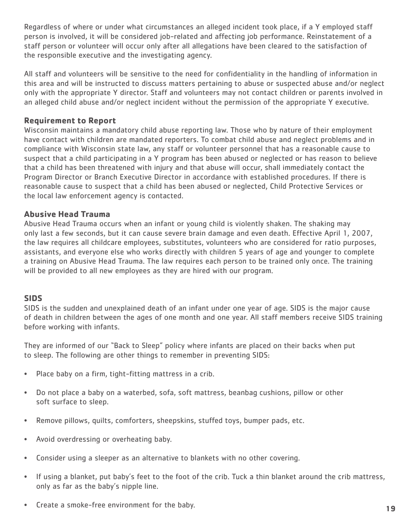Regardless of where or under what circumstances an alleged incident took place, if a Y employed staff person is involved, it will be considered job-related and affecting job performance. Reinstatement of a staff person or volunteer will occur only after all allegations have been cleared to the satisfaction of the responsible executive and the investigating agency.

All staff and volunteers will be sensitive to the need for confidentiality in the handling of information in this area and will be instructed to discuss matters pertaining to abuse or suspected abuse and/or neglect only with the appropriate Y director. Staff and volunteers may not contact children or parents involved in an alleged child abuse and/or neglect incident without the permission of the appropriate Y executive.

### **Requirement to Report**

Wisconsin maintains a mandatory child abuse reporting law. Those who by nature of their employment have contact with children are mandated reporters. To combat child abuse and neglect problems and in compliance with Wisconsin state law, any staff or volunteer personnel that has a reasonable cause to suspect that a child participating in a Y program has been abused or neglected or has reason to believe that a child has been threatened with injury and that abuse will occur, shall immediately contact the Program Director or Branch Executive Director in accordance with established procedures. If there is reasonable cause to suspect that a child has been abused or neglected, Child Protective Services or the local law enforcement agency is contacted.

### **Abusive Head Trauma**

Abusive Head Trauma occurs when an infant or young child is violently shaken. The shaking may only last a few seconds, but it can cause severe brain damage and even death. Effective April 1, 2007, the law requires all childcare employees, substitutes, volunteers who are considered for ratio purposes, assistants, and everyone else who works directly with children 5 years of age and younger to complete a training on Abusive Head Trauma. The law requires each person to be trained only once. The training will be provided to all new employees as they are hired with our program.

### **SIDS**

SIDS is the sudden and unexplained death of an infant under one year of age. SIDS is the major cause of death in children between the ages of one month and one year. All staff members receive SIDS training before working with infants.

They are informed of our "Back to Sleep" policy where infants are placed on their backs when put to sleep. The following are other things to remember in preventing SIDS:

- Place baby on a firm, tight-fitting mattress in a crib.
- Do not place a baby on a waterbed, sofa, soft mattress, beanbag cushions, pillow or other soft surface to sleep.
- Remove pillows, quilts, comforters, sheepskins, stuffed toys, bumper pads, etc.
- Avoid overdressing or overheating baby.
- Consider using a sleeper as an alternative to blankets with no other covering.
- If using a blanket, put baby's feet to the foot of the crib. Tuck a thin blanket around the crib mattress, only as far as the baby's nipple line.
- Create a smoke-free environment for the baby.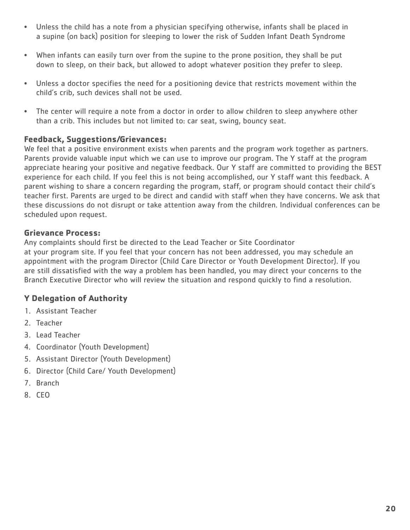- Unless the child has a note from a physician specifying otherwise, infants shall be placed in a supine (on back) position for sleeping to lower the risk of Sudden Infant Death Syndrome
- When infants can easily turn over from the supine to the prone position, they shall be put down to sleep, on their back, but allowed to adopt whatever position they prefer to sleep.
- Unless a doctor specifies the need for a positioning device that restricts movement within the child's crib, such devices shall not be used.
- The center will require a note from a doctor in order to allow children to sleep anywhere other than a crib. This includes but not limited to: car seat, swing, bouncy seat.

### **Feedback, Suggestions/Grievances:**

We feel that a positive environment exists when parents and the program work together as partners. Parents provide valuable input which we can use to improve our program. The Y staff at the program appreciate hearing your positive and negative feedback. Our Y staff are committed to providing the BEST experience for each child. If you feel this is not being accomplished, our Y staff want this feedback. A parent wishing to share a concern regarding the program, staff, or program should contact their child's teacher first. Parents are urged to be direct and candid with staff when they have concerns. We ask that these discussions do not disrupt or take attention away from the children. Individual conferences can be scheduled upon request.

### **Grievance Process:**

Any complaints should first be directed to the Lead Teacher or Site Coordinator at your program site. If you feel that your concern has not been addressed, you may schedule an appointment with the program Director (Child Care Director or Youth Development Director). If you are still dissatisfied with the way a problem has been handled, you may direct your concerns to the Branch Executive Director who will review the situation and respond quickly to find a resolution.

# **Y Delegation of Authority**

- 1. Assistant Teacher
- 2. Teacher
- 3. Lead Teacher
- 4. Coordinator (Youth Development)
- 5. Assistant Director (Youth Development)
- 6. Director (Child Care/ Youth Development)
- 7. Branch
- 8. CEO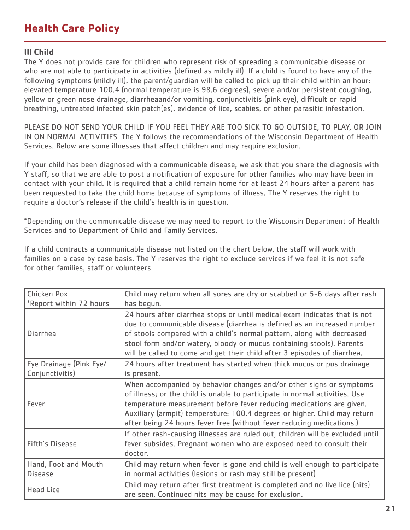# **Health Care Policy**

# **Ill Child**

The Y does not provide care for children who represent risk of spreading a communicable disease or who are not able to participate in activities (defined as mildly ill). If a child is found to have any of the following symptoms (mildly ill), the parent/guardian will be called to pick up their child within an hour: elevated temperature 100.4 (normal temperature is 98.6 degrees), severe and/or persistent coughing, yellow or green nose drainage, diarrheaand/or vomiting, conjunctivitis (pink eye), difficult or rapid breathing, untreated infected skin patch(es), evidence of lice, scabies, or other parasitic infestation.

PLEASE DO NOT SEND YOUR CHILD IF YOU FEEL THEY ARE TOO SICK TO GO OUTSIDE, TO PLAY, OR JOIN IN ON NORMAL ACTIVITIES. The Y follows the recommendations of the Wisconsin Department of Health Services. Below are some illnesses that affect children and may require exclusion.

If your child has been diagnosed with a communicable disease, we ask that you share the diagnosis with Y staff, so that we are able to post a notification of exposure for other families who may have been in contact with your child. It is required that a child remain home for at least 24 hours after a parent has been requested to take the child home because of symptoms of illness. The Y reserves the right to require a doctor's release if the child's health is in question.

\*Depending on the communicable disease we may need to report to the Wisconsin Department of Health Services and to Department of Child and Family Services.

If a child contracts a communicable disease not listed on the chart below, the staff will work with families on a case by case basis. The Y reserves the right to exclude services if we feel it is not safe for other families, staff or volunteers.

| Chicken Pox                                | Child may return when all sores are dry or scabbed or 5-6 days after rash                                                                                                                                                                                                                                                                                                           |
|--------------------------------------------|-------------------------------------------------------------------------------------------------------------------------------------------------------------------------------------------------------------------------------------------------------------------------------------------------------------------------------------------------------------------------------------|
| *Report within 72 hours                    | has begun.                                                                                                                                                                                                                                                                                                                                                                          |
| <b>Diarrhea</b>                            | 24 hours after diarrhea stops or until medical exam indicates that is not<br>due to communicable disease (diarrhea is defined as an increased number<br>of stools compared with a child's normal pattern, along with decreased<br>stool form and/or watery, bloody or mucus containing stools). Parents<br>will be called to come and get their child after 3 episodes of diarrhea. |
| Eye Drainage (Pink Eye/<br>Conjunctivitis) | 24 hours after treatment has started when thick mucus or pus drainage<br>is present.                                                                                                                                                                                                                                                                                                |
| Fever                                      | When accompanied by behavior changes and/or other signs or symptoms<br>of illness; or the child is unable to participate in normal activities. Use<br>temperature measurement before fever reducing medications are given.<br>Auxiliary (armpit) temperature: 100.4 degrees or higher. Child may return<br>after being 24 hours fever free (without fever reducing medications.)    |
| <b>Fifth's Disease</b>                     | If other rash-causing illnesses are ruled out, children will be excluded until<br>fever subsides. Pregnant women who are exposed need to consult their<br>doctor.                                                                                                                                                                                                                   |
| Hand, Foot and Mouth<br><b>Disease</b>     | Child may return when fever is gone and child is well enough to participate<br>in normal activities (lesions or rash may still be present)                                                                                                                                                                                                                                          |
| <b>Head Lice</b>                           | Child may return after first treatment is completed and no live lice (nits)<br>are seen. Continued nits may be cause for exclusion.                                                                                                                                                                                                                                                 |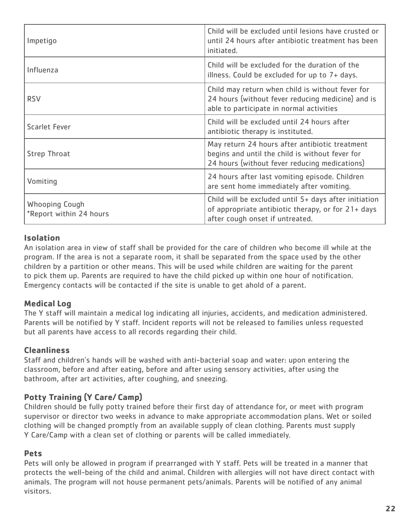| Impetigo                                         | Child will be excluded until lesions have crusted or<br>until 24 hours after antibiotic treatment has been<br>initiated.                           |
|--------------------------------------------------|----------------------------------------------------------------------------------------------------------------------------------------------------|
| Influenza                                        | Child will be excluded for the duration of the<br>illness. Could be excluded for up to 7+ days.                                                    |
| <b>RSV</b>                                       | Child may return when child is without fever for<br>24 hours (without fever reducing medicine) and is<br>able to participate in normal activities  |
| <b>Scarlet Fever</b>                             | Child will be excluded until 24 hours after<br>antibiotic therapy is instituted.                                                                   |
| <b>Strep Throat</b>                              | May return 24 hours after antibiotic treatment<br>begins and until the child is without fever for<br>24 hours (without fever reducing medications) |
| Vomiting                                         | 24 hours after last vomiting episode. Children<br>are sent home immediately after vomiting.                                                        |
| <b>Whooping Cough</b><br>*Report within 24 hours | Child will be excluded until 5+ days after initiation<br>of appropriate antibiotic therapy, or for 21+ days<br>after cough onset if untreated.     |

### **Isolation**

An isolation area in view of staff shall be provided for the care of children who become ill while at the program. If the area is not a separate room, it shall be separated from the space used by the other children by a partition or other means. This will be used while children are waiting for the parent to pick them up. Parents are required to have the child picked up within one hour of notification. Emergency contacts will be contacted if the site is unable to get ahold of a parent.

# **Medical Log**

The Y staff will maintain a medical log indicating all injuries, accidents, and medication administered. Parents will be notified by Y staff. Incident reports will not be released to families unless requested but all parents have access to all records regarding their child.

# **Cleanliness**

Staff and children's hands will be washed with anti-bacterial soap and water: upon entering the classroom, before and after eating, before and after using sensory activities, after using the bathroom, after art activities, after coughing, and sneezing.

# **Potty Training (Y Care/ Camp)**

Children should be fully potty trained before their first day of attendance for, or meet with program supervisor or director two weeks in advance to make appropriate accommodation plans. Wet or soiled clothing will be changed promptly from an available supply of clean clothing. Parents must supply Y Care/Camp with a clean set of clothing or parents will be called immediately.

### **Pets**

Pets will only be allowed in program if prearranged with Y staff. Pets will be treated in a manner that protects the well-being of the child and animal. Children with allergies will not have direct contact with animals. The program will not house permanent pets/animals. Parents will be notified of any animal visitors.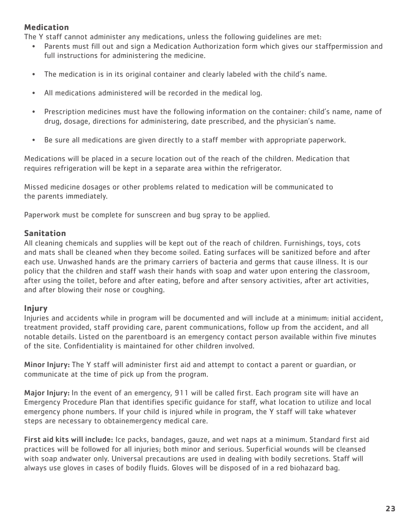# **Medication**

The Y staff cannot administer any medications, unless the following guidelines are met:

- Parents must fill out and sign a Medication Authorization form which gives our staffpermission and full instructions for administering the medicine.
- The medication is in its original container and clearly labeled with the child's name.
- All medications administered will be recorded in the medical log.
- Prescription medicines must have the following information on the container: child's name, name of drug, dosage, directions for administering, date prescribed, and the physician's name.
- Be sure all medications are given directly to a staff member with appropriate paperwork.

Medications will be placed in a secure location out of the reach of the children. Medication that requires refrigeration will be kept in a separate area within the refrigerator.

Missed medicine dosages or other problems related to medication will be communicated to the parents immediately.

Paperwork must be complete for sunscreen and bug spray to be applied.

### **Sanitation**

All cleaning chemicals and supplies will be kept out of the reach of children. Furnishings, toys, cots and mats shall be cleaned when they become soiled. Eating surfaces will be sanitized before and after each use. Unwashed hands are the primary carriers of bacteria and germs that cause illness. It is our policy that the children and staff wash their hands with soap and water upon entering the classroom, after using the toilet, before and after eating, before and after sensory activities, after art activities, and after blowing their nose or coughing.

### **Injury**

Injuries and accidents while in program will be documented and will include at a minimum: initial accident, treatment provided, staff providing care, parent communications, follow up from the accident, and all notable details. Listed on the parentboard is an emergency contact person available within five minutes of the site. Confidentiality is maintained for other children involved.

Minor Injury: The Y staff will administer first aid and attempt to contact a parent or guardian, or communicate at the time of pick up from the program.

Major Injury: In the event of an emergency, 911 will be called first. Each program site will have an Emergency Procedure Plan that identifies specific guidance for staff, what location to utilize and local emergency phone numbers. If your child is injured while in program, the Y staff will take whatever steps are necessary to obtainemergency medical care.

First aid kits will include: Ice packs, bandages, gauze, and wet naps at a minimum. Standard first aid practices will be followed for all injuries; both minor and serious. Superficial wounds will be cleansed with soap andwater only. Universal precautions are used in dealing with bodily secretions. Staff will always use gloves in cases of bodily fluids. Gloves will be disposed of in a red biohazard bag.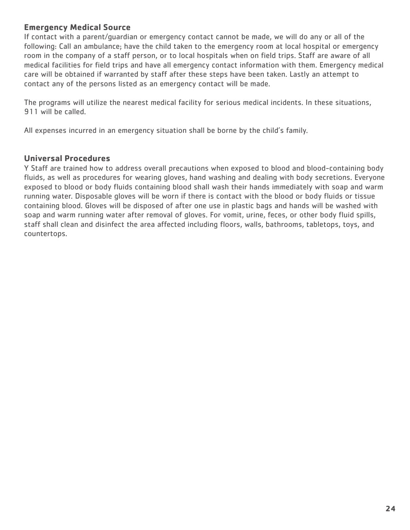### **Emergency Medical Source**

If contact with a parent/guardian or emergency contact cannot be made, we will do any or all of the following: Call an ambulance; have the child taken to the emergency room at local hospital or emergency room in the company of a staff person, or to local hospitals when on field trips. Staff are aware of all medical facilities for field trips and have all emergency contact information with them. Emergency medical care will be obtained if warranted by staff after these steps have been taken. Lastly an attempt to contact any of the persons listed as an emergency contact will be made.

The programs will utilize the nearest medical facility for serious medical incidents. In these situations, 911 will be called.

All expenses incurred in an emergency situation shall be borne by the child's family.

### **Universal Procedures**

Y Staff are trained how to address overall precautions when exposed to blood and blood-containing body fluids, as well as procedures for wearing gloves, hand washing and dealing with body secretions. Everyone exposed to blood or body fluids containing blood shall wash their hands immediately with soap and warm running water. Disposable gloves will be worn if there is contact with the blood or body fluids or tissue containing blood. Gloves will be disposed of after one use in plastic bags and hands will be washed with soap and warm running water after removal of gloves. For vomit, urine, feces, or other body fluid spills, staff shall clean and disinfect the area affected including floors, walls, bathrooms, tabletops, toys, and countertops.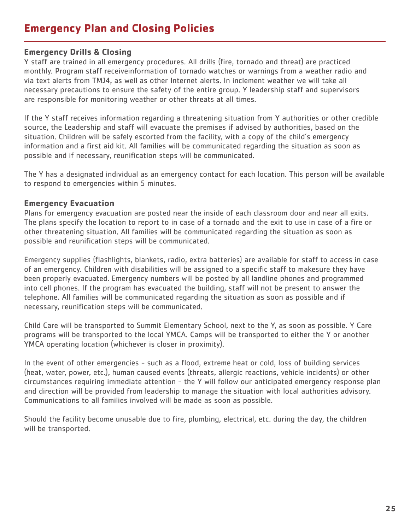# **Emergency Plan and Closing Policies**

### **Emergency Drills & Closing**

Y staff are trained in all emergency procedures. All drills (fire, tornado and threat) are practiced monthly. Program staff receiveinformation of tornado watches or warnings from a weather radio and via text alerts from TMJ4, as well as other Internet alerts. In inclement weather we will take all necessary precautions to ensure the safety of the entire group. Y leadership staff and supervisors are responsible for monitoring weather or other threats at all times.

If the Y staff receives information regarding a threatening situation from Y authorities or other credible source, the Leadership and staff will evacuate the premises if advised by authorities, based on the situation. Children will be safely escorted from the facility, with a copy of the child's emergency information and a first aid kit. All families will be communicated regarding the situation as soon as possible and if necessary, reunification steps will be communicated.

The Y has a designated individual as an emergency contact for each location. This person will be available to respond to emergencies within 5 minutes.

### **Emergency Evacuation**

Plans for emergency evacuation are posted near the inside of each classroom door and near all exits. The plans specify the location to report to in case of a tornado and the exit to use in case of a fire or other threatening situation. All families will be communicated regarding the situation as soon as possible and reunification steps will be communicated.

Emergency supplies (flashlights, blankets, radio, extra batteries) are available for staff to access in case of an emergency. Children with disabilities will be assigned to a specific staff to makesure they have been properly evacuated. Emergency numbers will be posted by all landline phones and programmed into cell phones. If the program has evacuated the building, staff will not be present to answer the telephone. All families will be communicated regarding the situation as soon as possible and if necessary, reunification steps will be communicated.

Child Care will be transported to Summit Elementary School, next to the Y, as soon as possible. Y Care programs will be transported to the local YMCA. Camps will be transported to either the Y or another YMCA operating location (whichever is closer in proximity).

In the event of other emergencies - such as a flood, extreme heat or cold, loss of building services (heat, water, power, etc.), human caused events (threats, allergic reactions, vehicle incidents) or other circumstances requiring immediate attention - the Y will follow our anticipated emergency response plan and direction will be provided from leadership to manage the situation with local authorities advisory. Communications to all families involved will be made as soon as possible.

Should the facility become unusable due to fire, plumbing, electrical, etc. during the day, the children will be transported.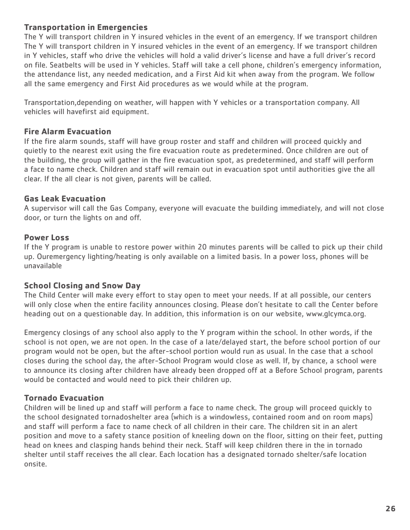### **Transportation in Emergencies**

The Y will transport children in Y insured vehicles in the event of an emergency. If we transport children The Y will transport children in Y insured vehicles in the event of an emergency. If we transport children in Y vehicles, staff who drive the vehicles will hold a valid driver's license and have a full driver's record on file. Seatbelts will be used in Y vehicles. Staff will take a cell phone, children's emergency information, the attendance list, any needed medication, and a First Aid kit when away from the program. We follow all the same emergency and First Aid procedures as we would while at the program.

Transportation,depending on weather, will happen with Y vehicles or a transportation company. All vehicles will havefirst aid equipment.

### **Fire Alarm Evacuation**

If the fire alarm sounds, staff will have group roster and staff and children will proceed quickly and quietly to the nearest exit using the fire evacuation route as predetermined. Once children are out of the building, the group will gather in the fire evacuation spot, as predetermined, and staff will perform a face to name check. Children and staff will remain out in evacuation spot until authorities give the all clear. If the all clear is not given, parents will be called.

### **Gas Leak Evacuation**

A supervisor will call the Gas Company, everyone will evacuate the building immediately, and will not close door, or turn the lights on and off.

### **Power Loss**

If the Y program is unable to restore power within 20 minutes parents will be called to pick up their child up. Ouremergency lighting/heating is only available on a limited basis. In a power loss, phones will be unavailable

### **School Closing and Snow Day**

The Child Center will make every effort to stay open to meet your needs. If at all possible, our centers will only close when the entire facility announces closing. Please don't hesitate to call the Center before heading out on a questionable day. In addition, this information is on our website, www.glcymca.org.

Emergency closings of any school also apply to the Y program within the school. In other words, if the school is not open, we are not open. In the case of a late/delayed start, the before school portion of our program would not be open, but the after-school portion would run as usual. In the case that a school closes during the school day, the after-School Program would close as well. If, by chance, a school were to announce its closing after children have already been dropped off at a Before School program, parents would be contacted and would need to pick their children up.

### **Tornado Evacuation**

Children will be lined up and staff will perform a face to name check. The group will proceed quickly to the school designated tornadoshelter area (which is a windowless, contained room and on room maps) and staff will perform a face to name check of all children in their care. The children sit in an alert position and move to a safety stance position of kneeling down on the floor, sitting on their feet, putting head on knees and clasping hands behind their neck. Staff will keep children there in the in tornado shelter until staff receives the all clear. Each location has a designated tornado shelter/safe location onsite.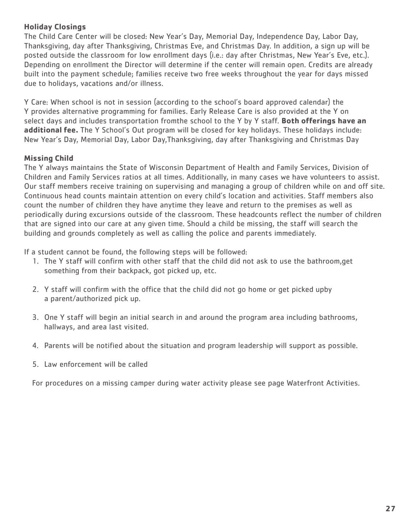### **Holiday Closings**

The Child Care Center will be closed: New Year's Day, Memorial Day, Independence Day, Labor Day, Thanksgiving, day after Thanksgiving, Christmas Eve, and Christmas Day. In addition, a sign up will be posted outside the classroom for low enrollment days (i.e.: day after Christmas, New Year's Eve, etc.). Depending on enrollment the Director will determine if the center will remain open. Credits are already built into the payment schedule; families receive two free weeks throughout the year for days missed due to holidays, vacations and/or illness.

Y Care: When school is not in session (according to the school's board approved calendar) the Y provides alternative programming for families. Early Release Care is also provided at the Y on select days and includes transportation fromthe school to the Y by Y staff. **Both offerings have an additional fee.** The Y School's Out program will be closed for key holidays. These holidays include: New Year's Day, Memorial Day, Labor Day,Thanksgiving, day after Thanksgiving and Christmas Day

### **Missing Child**

The Y always maintains the State of Wisconsin Department of Health and Family Services, Division of Children and Family Services ratios at all times. Additionally, in many cases we have volunteers to assist. Our staff members receive training on supervising and managing a group of children while on and off site. Continuous head counts maintain attention on every child's location and activities. Staff members also count the number of children they have anytime they leave and return to the premises as well as periodically during excursions outside of the classroom. These headcounts reflect the number of children that are signed into our care at any given time. Should a child be missing, the staff will search the building and grounds completely as well as calling the police and parents immediately.

If a student cannot be found, the following steps will be followed:

- 1. The Y staff will confirm with other staff that the child did not ask to use the bathroom,get something from their backpack, got picked up, etc.
- 2. Y staff will confirm with the office that the child did not go home or get picked upby a parent/authorized pick up.
- 3. One Y staff will begin an initial search in and around the program area including bathrooms, hallways, and area last visited.
- 4. Parents will be notified about the situation and program leadership will support as possible.
- 5. Law enforcement will be called

For procedures on a missing camper during water activity please see page Waterfront Activities.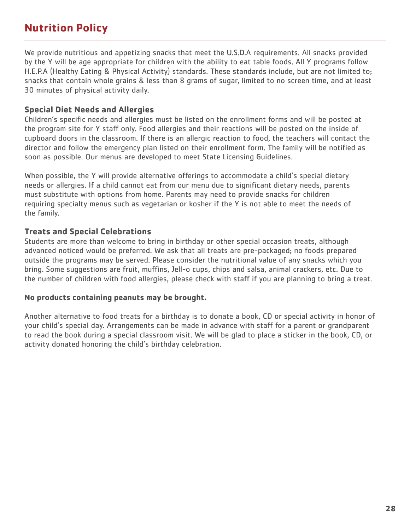# **Nutrition Policy**

We provide nutritious and appetizing snacks that meet the U.S.D.A requirements. All snacks provided by the Y will be age appropriate for children with the ability to eat table foods. All Y programs follow H.E.P.A (Healthy Eating & Physical Activity) standards. These standards include, but are not limited to; snacks that contain whole grains & less than 8 grams of sugar, limited to no screen time, and at least 30 minutes of physical activity daily.

### **Special Diet Needs and Allergies**

Children's specific needs and allergies must be listed on the enrollment forms and will be posted at the program site for Y staff only. Food allergies and their reactions will be posted on the inside of cupboard doors in the classroom. If there is an allergic reaction to food, the teachers will contact the director and follow the emergency plan listed on their enrollment form. The family will be notified as soon as possible. Our menus are developed to meet State Licensing Guidelines.

When possible, the Y will provide alternative offerings to accommodate a child's special dietary needs or allergies. If a child cannot eat from our menu due to significant dietary needs, parents must substitute with options from home. Parents may need to provide snacks for children requiring specialty menus such as vegetarian or kosher if the Y is not able to meet the needs of the family.

### **Treats and Special Celebrations**

Students are more than welcome to bring in birthday or other special occasion treats, although advanced noticed would be preferred. We ask that all treats are pre-packaged; no foods prepared outside the programs may be served. Please consider the nutritional value of any snacks which you bring. Some suggestions are fruit, muffins, Jell-o cups, chips and salsa, animal crackers, etc. Due to the number of children with food allergies, please check with staff if you are planning to bring a treat.

### **No products containing peanuts may be brought.**

Another alternative to food treats for a birthday is to donate a book, CD or special activity in honor of your child's special day. Arrangements can be made in advance with staff for a parent or grandparent to read the book during a special classroom visit. We will be glad to place a sticker in the book, CD, or activity donated honoring the child's birthday celebration.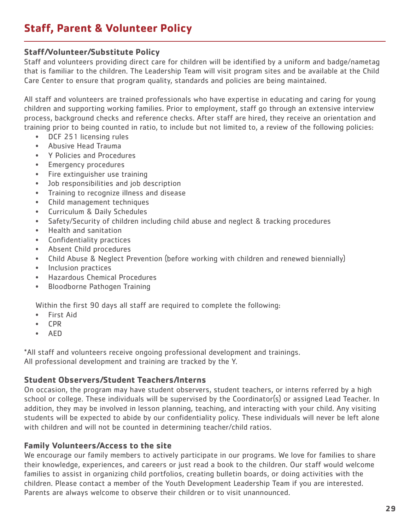# **Staff, Parent & Volunteer Policy**

### **Staff/Volunteer/Substitute Policy**

Staff and volunteers providing direct care for children will be identified by a uniform and badge/nametag that is familiar to the children. The Leadership Team will visit program sites and be available at the Child Care Center to ensure that program quality, standards and policies are being maintained.

All staff and volunteers are trained professionals who have expertise in educating and caring for young children and supporting working families. Prior to employment, staff go through an extensive interview process, background checks and reference checks. After staff are hired, they receive an orientation and training prior to being counted in ratio, to include but not limited to, a review of the following policies:

- DCF 251 licensing rules
- Abusive Head Trauma
- Y Policies and Procedures
- Emergency procedures
- Fire extinguisher use training
- Job responsibilities and job description
- Training to recognize illness and disease
- Child management techniques
- Curriculum & Daily Schedules
- Safety/Security of children including child abuse and neglect & tracking procedures
- Health and sanitation
- Confidentiality practices
- Absent Child procedures
- Child Abuse & Neglect Prevention (before working with children and renewed biennially)
- Inclusion practices
- Hazardous Chemical Procedures
- Bloodborne Pathogen Training

Within the first 90 days all staff are required to complete the following:

- First Aid
- CPR
- AED

\*All staff and volunteers receive ongoing professional development and trainings. All professional development and training are tracked by the Y.

### **Student Observers/Student Teachers/Interns**

On occasion, the program may have student observers, student teachers, or interns referred by a high school or college. These individuals will be supervised by the Coordinator(s) or assigned Lead Teacher. In addition, they may be involved in lesson planning, teaching, and interacting with your child. Any visiting students will be expected to abide by our confidentiality policy. These individuals will never be left alone with children and will not be counted in determining teacher/child ratios.

### **Family Volunteers/Access to the site**

We encourage our family members to actively participate in our programs. We love for families to share their knowledge, experiences, and careers or just read a book to the children. Our staff would welcome families to assist in organizing child portfolios, creating bulletin boards, or doing activities with the children. Please contact a member of the Youth Development Leadership Team if you are interested. Parents are always welcome to observe their children or to visit unannounced.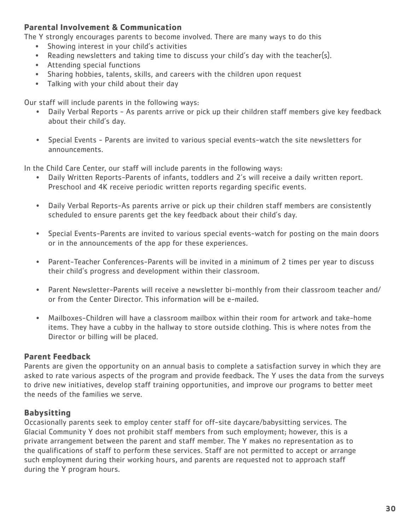### **Parental Involvement & Communication**

The Y strongly encourages parents to become involved. There are many ways to do this

- Showing interest in your child's activities
- Reading newsletters and taking time to discuss your child's day with the teacher(s).
- Attending special functions
- Sharing hobbies, talents, skills, and careers with the children upon request
- Talking with your child about their day

Our staff will include parents in the following ways:

- Daily Verbal Reports As parents arrive or pick up their children staff members give key feedback about their child's day.
- Special Events Parents are invited to various special events-watch the site newsletters for announcements.

In the Child Care Center, our staff will include parents in the following ways:

- Daily Written Reports-Parents of infants, toddlers and 2's will receive a daily written report. Preschool and 4K receive periodic written reports regarding specific events.
- Daily Verbal Reports-As parents arrive or pick up their children staff members are consistently scheduled to ensure parents get the key feedback about their child's day.
- Special Events-Parents are invited to various special events-watch for posting on the main doors or in the announcements of the app for these experiences.
- Parent-Teacher Conferences-Parents will be invited in a minimum of 2 times per year to discuss their child's progress and development within their classroom.
- Parent Newsletter-Parents will receive a newsletter bi-monthly from their classroom teacher and/ or from the Center Director. This information will be e-mailed.
- Mailboxes-Children will have a classroom mailbox within their room for artwork and take-home items. They have a cubby in the hallway to store outside clothing. This is where notes from the Director or billing will be placed.

### **Parent Feedback**

Parents are given the opportunity on an annual basis to complete a satisfaction survey in which they are asked to rate various aspects of the program and provide feedback. The Y uses the data from the surveys to drive new initiatives, develop staff training opportunities, and improve our programs to better meet the needs of the families we serve.

### **Babysitting**

Occasionally parents seek to employ center staff for off-site daycare/babysitting services. The Glacial Community Y does not prohibit staff members from such employment; however, this is a private arrangement between the parent and staff member. The Y makes no representation as to the qualifications of staff to perform these services. Staff are not permitted to accept or arrange such employment during their working hours, and parents are requested not to approach staff during the Y program hours.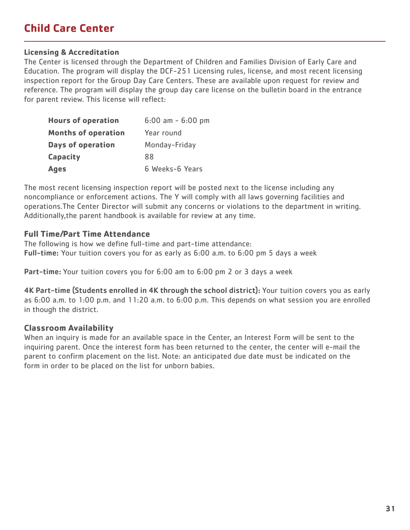# **Child Care Center**

#### **Licensing & Accreditation**

The Center is licensed through the Department of Children and Families Division of Early Care and Education. The program will display the DCF-251 Licensing rules, license, and most recent licensing inspection report for the Group Day Care Centers. These are available upon request for review and reference. The program will display the group day care license on the bulletin board in the entrance for parent review. This license will reflect:

| <b>Hours of operation</b>  | $6:00$ am - $6:00$ pm |
|----------------------------|-----------------------|
| <b>Months of operation</b> | Year round            |
| <b>Days of operation</b>   | Monday-Friday         |
| <b>Capacity</b>            | 88                    |
| <b>Ages</b>                | 6 Weeks-6 Years       |

The most recent licensing inspection report will be posted next to the license including any noncompliance or enforcement actions. The Y will comply with all laws governing facilities and operations.The Center Director will submit any concerns or violations to the department in writing. Additionally,the parent handbook is available for review at any time.

### **Full Time/Part Time Attendance**

The following is how we define full-time and part-time attendance: Full-time: Your tuition covers you for as early as 6:00 a.m. to 6:00 pm 5 days a week

Part-time: Your tuition covers you for 6:00 am to 6:00 pm 2 or 3 days a week

4K Part-time (Students enrolled in 4K through the school district): Your tuition covers you as early as 6:00 a.m. to 1:00 p.m. and 11:20 a.m. to 6:00 p.m. This depends on what session you are enrolled in though the district.

### **Classroom Availability**

When an inquiry is made for an available space in the Center, an Interest Form will be sent to the inquiring parent. Once the interest form has been returned to the center, the center will e-mail the parent to confirm placement on the list. Note: an anticipated due date must be indicated on the form in order to be placed on the list for unborn babies.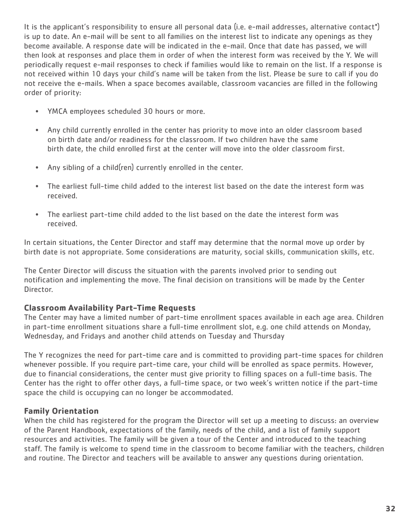It is the applicant's responsibility to ensure all personal data (i.e. e-mail addresses, alternative contact\*) is up to date. An e-mail will be sent to all families on the interest list to indicate any openings as they become available. A response date will be indicated in the e-mail. Once that date has passed, we will then look at responses and place them in order of when the interest form was received by the Y. We will periodically request e-mail responses to check if families would like to remain on the list. If a response is not received within 10 days your child's name will be taken from the list. Please be sure to call if you do not receive the e-mails. When a space becomes available, classroom vacancies are filled in the following order of priority:

- YMCA employees scheduled 30 hours or more.
- Any child currently enrolled in the center has priority to move into an older classroom based on birth date and/or readiness for the classroom. If two children have the same birth date, the child enrolled first at the center will move into the older classroom first.
- Any sibling of a child(ren) currently enrolled in the center.
- The earliest full-time child added to the interest list based on the date the interest form was received.
- The earliest part-time child added to the list based on the date the interest form was received.

In certain situations, the Center Director and staff may determine that the normal move up order by birth date is not appropriate. Some considerations are maturity, social skills, communication skills, etc.

The Center Director will discuss the situation with the parents involved prior to sending out notification and implementing the move. The final decision on transitions will be made by the Center Director.

### **Classroom Availability Part-Time Requests**

The Center may have a limited number of part-time enrollment spaces available in each age area. Children in part-time enrollment situations share a full-time enrollment slot, e.g. one child attends on Monday, Wednesday, and Fridays and another child attends on Tuesday and Thursday

The Y recognizes the need for part-time care and is committed to providing part-time spaces for children whenever possible. If you require part-time care, your child will be enrolled as space permits. However, due to financial considerations, the center must give priority to filling spaces on a full-time basis. The Center has the right to offer other days, a full-time space, or two week's written notice if the part-time space the child is occupying can no longer be accommodated.

# **Family Orientation**

When the child has registered for the program the Director will set up a meeting to discuss: an overview of the Parent Handbook, expectations of the family, needs of the child, and a list of family support resources and activities. The family will be given a tour of the Center and introduced to the teaching staff. The family is welcome to spend time in the classroom to become familiar with the teachers, children and routine. The Director and teachers will be available to answer any questions during orientation.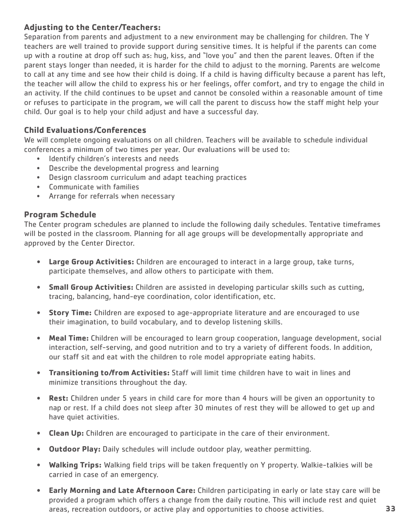# **Adjusting to the Center/Teachers:**

Separation from parents and adjustment to a new environment may be challenging for children. The Y teachers are well trained to provide support during sensitive times. It is helpful if the parents can come up with a routine at drop off such as: hug, kiss, and "love you" and then the parent leaves. Often if the parent stays longer than needed, it is harder for the child to adjust to the morning. Parents are welcome to call at any time and see how their child is doing. If a child is having difficulty because a parent has left, the teacher will allow the child to express his or her feelings, offer comfort, and try to engage the child in an activity. If the child continues to be upset and cannot be consoled within a reasonable amount of time or refuses to participate in the program, we will call the parent to discuss how the staff might help your child. Our goal is to help your child adjust and have a successful day.

# **Child Evaluations/Conferences**

We will complete ongoing evaluations on all children. Teachers will be available to schedule individual conferences a minimum of two times per year. Our evaluations will be used to:

- Identify children's interests and needs
- Describe the developmental progress and learning
- Design classroom curriculum and adapt teaching practices
- Communicate with families
- Arrange for referrals when necessary

### **Program Schedule**

The Center program schedules are planned to include the following daily schedules. Tentative timeframes will be posted in the classroom. Planning for all age groups will be developmentally appropriate and approved by the Center Director.

- **• Large Group Activities:** Children are encouraged to interact in a large group, take turns, participate themselves, and allow others to participate with them.
- **• Small Group Activities:** Children are assisted in developing particular skills such as cutting, tracing, balancing, hand-eye coordination, color identification, etc.
- **• Story Time:** Children are exposed to age-appropriate literature and are encouraged to use their imagination, to build vocabulary, and to develop listening skills.
- **• Meal Time:** Children will be encouraged to learn group cooperation, language development, social interaction, self-serving, and good nutrition and to try a variety of different foods. In addition, our staff sit and eat with the children to role model appropriate eating habits.
- **• Transitioning to/from Activities:** Staff will limit time children have to wait in lines and minimize transitions throughout the day.
- **• Rest:** Children under 5 years in child care for more than 4 hours will be given an opportunity to nap or rest. If a child does not sleep after 30 minutes of rest they will be allowed to get up and have quiet activities.
- **• Clean Up:** Children are encouraged to participate in the care of their environment.
- **• Outdoor Play:** Daily schedules will include outdoor play, weather permitting.
- **• Walking Trips:** Walking field trips will be taken frequently on Y property. Walkie-talkies will be carried in case of an emergency.
- **• Early Morning and Late Afternoon Care:** Children participating in early or late stay care will be provided a program which offers a change from the daily routine. This will include rest and quiet areas, recreation outdoors, or active play and opportunities to choose activities.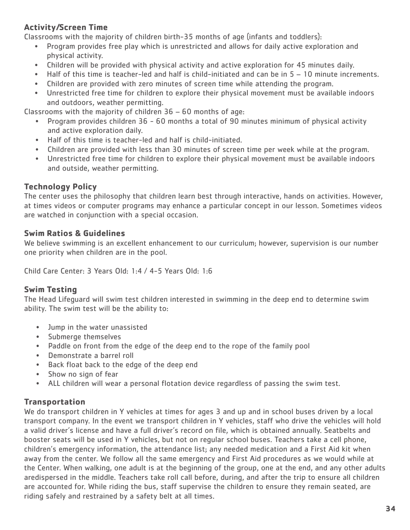# **Activity/Screen Time**

Classrooms with the majority of children birth-35 months of age (infants and toddlers):

- Program provides free play which is unrestricted and allows for daily active exploration and physical activity.
- Children will be provided with physical activity and active exploration for 45 minutes daily.
- Half of this time is teacher-led and half is child-initiated and can be in 5 10 minute increments.
- Children are provided with zero minutes of screen time while attending the program.
- Unrestricted free time for children to explore their physical movement must be available indoors and outdoors, weather permitting.

Classrooms with the majority of children 36 – 60 months of age:

- Program provides children 36 60 months a total of 90 minutes minimum of physical activity and active exploration daily.
- Half of this time is teacher-led and half is child-initiated.
- Children are provided with less than 30 minutes of screen time per week while at the program.
- Unrestricted free time for children to explore their physical movement must be available indoors and outside, weather permitting.

# **Technology Policy**

The center uses the philosophy that children learn best through interactive, hands on activities. However, at times videos or computer programs may enhance a particular concept in our lesson. Sometimes videos are watched in conjunction with a special occasion.

# **Swim Ratios & Guidelines**

We believe swimming is an excellent enhancement to our curriculum; however, supervision is our number one priority when children are in the pool.

Child Care Center: 3 Years Old: 1:4 / 4-5 Years Old: 1:6

# **Swim Testing**

The Head Lifeguard will swim test children interested in swimming in the deep end to determine swim ability. The swim test will be the ability to:

- Jump in the water unassisted
- Submerge themselves
- Paddle on front from the edge of the deep end to the rope of the family pool
- Demonstrate a barrel roll
- Back float back to the edge of the deep end
- Show no sign of fear
- ALL children will wear a personal flotation device regardless of passing the swim test.

# **Transportation**

We do transport children in Y vehicles at times for ages 3 and up and in school buses driven by a local transport company. In the event we transport children in Y vehicles, staff who drive the vehicles will hold a valid driver's license and have a full driver's record on file, which is obtained annually. Seatbelts and booster seats will be used in Y vehicles, but not on regular school buses. Teachers take a cell phone, children's emergency information, the attendance list; any needed medication and a First Aid kit when away from the center. We follow all the same emergency and First Aid procedures as we would while at the Center. When walking, one adult is at the beginning of the group, one at the end, and any other adults aredispersed in the middle. Teachers take roll call before, during, and after the trip to ensure all children are accounted for. While riding the bus, staff supervise the children to ensure they remain seated, are riding safely and restrained by a safety belt at all times.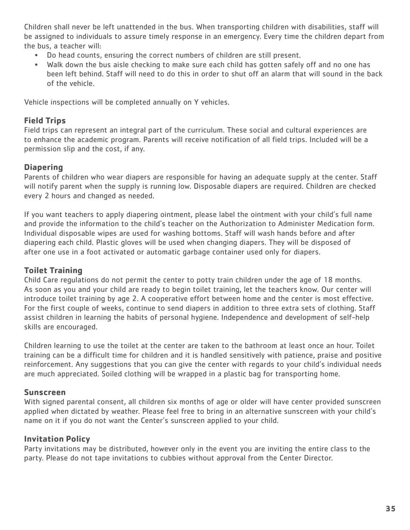Children shall never be left unattended in the bus. When transporting children with disabilities, staff will be assigned to individuals to assure timely response in an emergency. Every time the children depart from the bus, a teacher will:

- Do head counts, ensuring the correct numbers of children are still present.
- Walk down the bus aisle checking to make sure each child has gotten safely off and no one has been left behind. Staff will need to do this in order to shut off an alarm that will sound in the back of the vehicle.

Vehicle inspections will be completed annually on Y vehicles.

### **Field Trips**

Field trips can represent an integral part of the curriculum. These social and cultural experiences are to enhance the academic program. Parents will receive notification of all field trips. Included will be a permission slip and the cost, if any.

# **Diapering**

Parents of children who wear diapers are responsible for having an adequate supply at the center. Staff will notify parent when the supply is running low. Disposable diapers are required. Children are checked every 2 hours and changed as needed.

If you want teachers to apply diapering ointment, please label the ointment with your child's full name and provide the information to the child's teacher on the Authorization to Administer Medication form. Individual disposable wipes are used for washing bottoms. Staff will wash hands before and after diapering each child. Plastic gloves will be used when changing diapers. They will be disposed of after one use in a foot activated or automatic garbage container used only for diapers.

### **Toilet Training**

Child Care regulations do not permit the center to potty train children under the age of 18 months. As soon as you and your child are ready to begin toilet training, let the teachers know. Our center will introduce toilet training by age 2. A cooperative effort between home and the center is most effective. For the first couple of weeks, continue to send diapers in addition to three extra sets of clothing. Staff assist children in learning the habits of personal hygiene. Independence and development of self-help skills are encouraged.

Children learning to use the toilet at the center are taken to the bathroom at least once an hour. Toilet training can be a difficult time for children and it is handled sensitively with patience, praise and positive reinforcement. Any suggestions that you can give the center with regards to your child's individual needs are much appreciated. Soiled clothing will be wrapped in a plastic bag for transporting home.

### **Sunscreen**

With signed parental consent, all children six months of age or older will have center provided sunscreen applied when dictated by weather. Please feel free to bring in an alternative sunscreen with your child's name on it if you do not want the Center's sunscreen applied to your child.

### **Invitation Policy**

Party invitations may be distributed, however only in the event you are inviting the entire class to the party. Please do not tape invitations to cubbies without approval from the Center Director.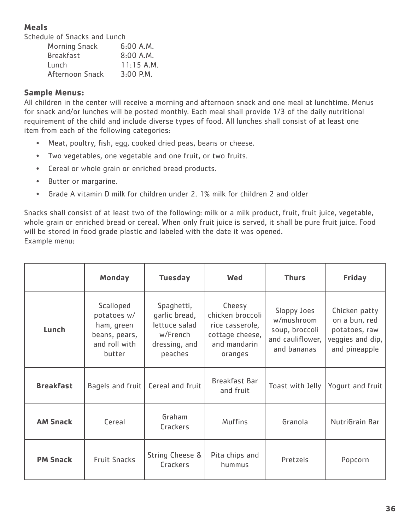# **Meals**

Schedule of Snacks and Lunch

| $6:00$ A.M.  |
|--------------|
| $8:00$ A.M.  |
| $11:15$ A.M. |
| $3:00$ P.M.  |
|              |

### **Sample Menus:**

All children in the center will receive a morning and afternoon snack and one meal at lunchtime. Menus for snack and/or lunches will be posted monthly. Each meal shall provide 1/3 of the daily nutritional requirement of the child and include diverse types of food. All lunches shall consist of at least one item from each of the following categories:

- Meat, poultry, fish, egg, cooked dried peas, beans or cheese.
- Two vegetables, one vegetable and one fruit, or two fruits.
- Cereal or whole grain or enriched bread products.
- Butter or margarine.
- Grade A vitamin D milk for children under 2. 1% milk for children 2 and older

Snacks shall consist of at least two of the following: milk or a milk product, fruit, fruit juice, vegetable, whole grain or enriched bread or cereal. When only fruit juice is served, it shall be pure fruit juice. Food will be stored in food grade plastic and labeled with the date it was opened. Example menu:

|                                                 | <b>Monday</b>                                                                      | <b>Tuesday</b>                                                                       | <b>Wed</b>                                                                                  | <b>Thurs</b>                                                                   | <b>Friday</b>                                                                        |
|-------------------------------------------------|------------------------------------------------------------------------------------|--------------------------------------------------------------------------------------|---------------------------------------------------------------------------------------------|--------------------------------------------------------------------------------|--------------------------------------------------------------------------------------|
| Lunch                                           | Scalloped<br>potatoes w/<br>ham, green<br>beans, pears,<br>and roll with<br>butter | Spaghetti,<br>garlic bread,<br>lettuce salad<br>w/French<br>dressing, and<br>peaches | Cheesy<br>chicken broccoli<br>rice casserole,<br>cottage cheese,<br>and mandarin<br>oranges | Sloppy Joes<br>w/mushroom<br>soup, broccoli<br>and cauliflower,<br>and bananas | Chicken patty<br>on a bun, red<br>potatoes, raw<br>veggies and dip,<br>and pineapple |
| <b>Breakfast</b><br>Bagels and fruit            |                                                                                    | Cereal and fruit                                                                     | <b>Breakfast Bar</b><br>and fruit                                                           | Toast with Jelly                                                               | Yogurt and fruit                                                                     |
| Graham<br><b>AM Snack</b><br>Cereal<br>Crackers |                                                                                    | <b>Muffins</b>                                                                       | Granola                                                                                     | NutriGrain Bar                                                                 |                                                                                      |
| <b>PM Snack</b>                                 | <b>Fruit Snacks</b>                                                                | <b>String Cheese &amp;</b><br>Crackers                                               | Pita chips and<br>hummus                                                                    | Pretzels                                                                       | Popcorn                                                                              |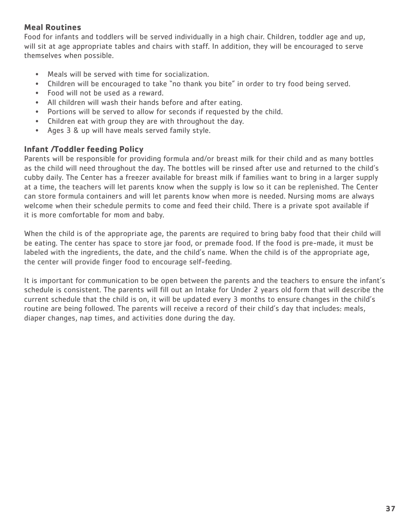### **Meal Routines**

Food for infants and toddlers will be served individually in a high chair. Children, toddler age and up, will sit at age appropriate tables and chairs with staff. In addition, they will be encouraged to serve themselves when possible.

- Meals will be served with time for socialization.
- Children will be encouraged to take "no thank you bite" in order to try food being served.
- Food will not be used as a reward.
- All children will wash their hands before and after eating.
- Portions will be served to allow for seconds if requested by the child.
- Children eat with group they are with throughout the day.
- Ages 3 & up will have meals served family style.

# **Infant /Toddler feeding Policy**

Parents will be responsible for providing formula and/or breast milk for their child and as many bottles as the child will need throughout the day. The bottles will be rinsed after use and returned to the child's cubby daily. The Center has a freezer available for breast milk if families want to bring in a larger supply at a time, the teachers will let parents know when the supply is low so it can be replenished. The Center can store formula containers and will let parents know when more is needed. Nursing moms are always welcome when their schedule permits to come and feed their child. There is a private spot available if it is more comfortable for mom and baby.

When the child is of the appropriate age, the parents are required to bring baby food that their child will be eating. The center has space to store jar food, or premade food. If the food is pre-made, it must be labeled with the ingredients, the date, and the child's name. When the child is of the appropriate age, the center will provide finger food to encourage self-feeding.

It is important for communication to be open between the parents and the teachers to ensure the infant's schedule is consistent. The parents will fill out an Intake for Under 2 years old form that will describe the current schedule that the child is on, it will be updated every 3 months to ensure changes in the child's routine are being followed. The parents will receive a record of their child's day that includes: meals, diaper changes, nap times, and activities done during the day.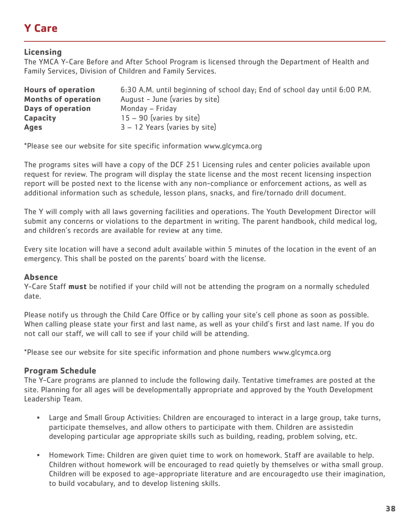# **Y Care**

# **Licensing**

The YMCA Y-Care Before and After School Program is licensed through the Department of Health and Family Services, Division of Children and Family Services.

| <b>Hours of operation</b>  | 6:30 A.M. until beginning of school day; End of school day until 6:00 P.M. |
|----------------------------|----------------------------------------------------------------------------|
| <b>Months of operation</b> | August - June (varies by site)                                             |
| <b>Days of operation</b>   | Monday – Friday                                                            |
| <b>Capacity</b>            | $15 - 90$ (varies by site)                                                 |
| <b>Ages</b>                | $3 - 12$ Years (varies by site)                                            |

\*Please see our website for site specific information www.glcymca.org

The programs sites will have a copy of the DCF 251 Licensing rules and center policies available upon request for review. The program will display the state license and the most recent licensing inspection report will be posted next to the license with any non-compliance or enforcement actions, as well as additional information such as schedule, lesson plans, snacks, and fire/tornado drill document.

The Y will comply with all laws governing facilities and operations. The Youth Development Director will submit any concerns or violations to the department in writing. The parent handbook, child medical log, and children's records are available for review at any time.

Every site location will have a second adult available within 5 minutes of the location in the event of an emergency. This shall be posted on the parents' board with the license.

### **Absence**

Y-Care Staff **must** be notified if your child will not be attending the program on a normally scheduled date.

Please notify us through the Child Care Office or by calling your site's cell phone as soon as possible. When calling please state your first and last name, as well as your child's first and last name. If you do not call our staff, we will call to see if your child will be attending.

\*Please see our website for site specific information and phone numbers www.glcymca.org

### **Program Schedule**

The Y-Care programs are planned to include the following daily. Tentative timeframes are posted at the site. Planning for all ages will be developmentally appropriate and approved by the Youth Development Leadership Team.

- Large and Small Group Activities: Children are encouraged to interact in a large group, take turns, participate themselves, and allow others to participate with them. Children are assistedin developing particular age appropriate skills such as building, reading, problem solving, etc.
- Homework Time: Children are given quiet time to work on homework. Staff are available to help. Children without homework will be encouraged to read quietly by themselves or witha small group. Children will be exposed to age-appropriate literature and are encouragedto use their imagination, to build vocabulary, and to develop listening skills.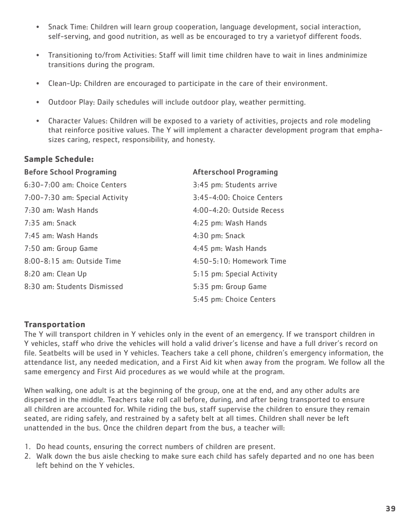- Snack Time: Children will learn group cooperation, language development, social interaction, self-serving, and good nutrition, as well as be encouraged to try a varietyof different foods.
- Transitioning to/from Activities: Staff will limit time children have to wait in lines andminimize transitions during the program.
- Clean-Up: Children are encouraged to participate in the care of their environment.
- Outdoor Play: Daily schedules will include outdoor play, weather permitting.
- Character Values: Children will be exposed to a variety of activities, projects and role modeling that reinforce positive values. The Y will implement a character development program that emphasizes caring, respect, responsibility, and honesty.

### **Sample Schedule:**

| <b>Before School Programing</b> | <b>Afterschool Programing</b> |
|---------------------------------|-------------------------------|
| 6:30-7:00 am: Choice Centers    | 3:45 pm: Students arrive      |
| 7:00-7:30 am: Special Activity  | 3:45-4:00: Choice Centers     |
| 7:30 am: Wash Hands             | $4:00-4:20:$ Outside Recess   |
| $7:35$ am: Snack                | 4:25 pm: Wash Hands           |
| 7:45 am: Wash Hands             | 4:30 pm: Snack                |
| 7:50 am: Group Game             | 4:45 pm: Wash Hands           |
| 8:00-8:15 am: Outside Time      | 4:50-5:10: Homework Time      |
| 8:20 am: Clean Up               | 5:15 pm: Special Activity     |
| 8:30 am: Students Dismissed     | 5:35 pm: Group Game           |
|                                 | 5:45 pm: Choice Centers       |

### **Transportation**

The Y will transport children in Y vehicles only in the event of an emergency. If we transport children in Y vehicles, staff who drive the vehicles will hold a valid driver's license and have a full driver's record on file. Seatbelts will be used in Y vehicles. Teachers take a cell phone, children's emergency information, the attendance list, any needed medication, and a First Aid kit when away from the program. We follow all the same emergency and First Aid procedures as we would while at the program.

When walking, one adult is at the beginning of the group, one at the end, and any other adults are dispersed in the middle. Teachers take roll call before, during, and after being transported to ensure all children are accounted for. While riding the bus, staff supervise the children to ensure they remain seated, are riding safely, and restrained by a safety belt at all times. Children shall never be left unattended in the bus. Once the children depart from the bus, a teacher will:

- 1. Do head counts, ensuring the correct numbers of children are present.
- 2. Walk down the bus aisle checking to make sure each child has safely departed and no one has been left behind on the Y vehicles.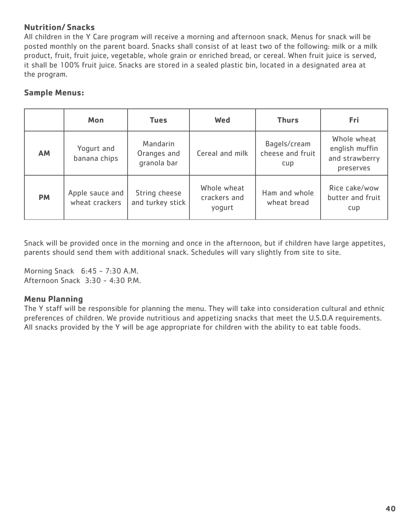# **Nutrition/ Snacks**

All children in the Y Care program will receive a morning and afternoon snack. Menus for snack will be posted monthly on the parent board. Snacks shall consist of at least two of the following: milk or a milk product, fruit, fruit juice, vegetable, whole grain or enriched bread, or cereal. When fruit juice is served, it shall be 100% fruit juice. Snacks are stored in a sealed plastic bin, located in a designated area at the program.

# **Sample Menus:**

|           | Mon                               | <b>Tues</b>                            | <b>Wed</b>                            | <b>Thurs</b>                            | Fri                                                          |
|-----------|-----------------------------------|----------------------------------------|---------------------------------------|-----------------------------------------|--------------------------------------------------------------|
| AM        | Yogurt and<br>banana chips        | Mandarin<br>Oranges and<br>granola bar | Cereal and milk                       | Bagels/cream<br>cheese and fruit<br>cup | Whole wheat<br>english muffin<br>and strawberry<br>preserves |
| <b>PM</b> | Apple sauce and<br>wheat crackers | String cheese<br>and turkey stick      | Whole wheat<br>crackers and<br>yogurt | Ham and whole<br>wheat bread            | Rice cake/wow<br>butter and fruit<br>cup                     |

Snack will be provided once in the morning and once in the afternoon, but if children have large appetites, parents should send them with additional snack. Schedules will vary slightly from site to site.

Morning Snack 6:45 - 7:30 A.M. Afternoon Snack 3:30 - 4:30 P.M.

### **Menu Planning**

The Y staff will be responsible for planning the menu. They will take into consideration cultural and ethnic preferences of children. We provide nutritious and appetizing snacks that meet the U.S.D.A requirements. All snacks provided by the Y will be age appropriate for children with the ability to eat table foods.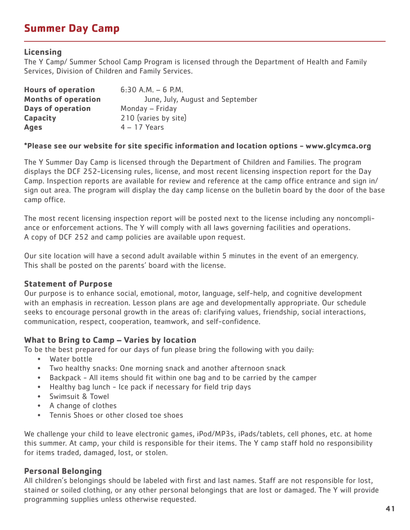# **Summer Day Camp**

### **Licensing**

The Y Camp/ Summer School Camp Program is licensed through the Department of Health and Family Services, Division of Children and Family Services.

| <b>Hours of operation</b>  | $6:30$ A.M. $-6$ P.M.            |
|----------------------------|----------------------------------|
| <b>Months of operation</b> | June, July, August and September |
| <b>Days of operation</b>   | Monday - Friday                  |
| <b>Capacity</b>            | 210 (varies by site)             |
| <b>Ages</b>                | $4 - 17$ Years                   |

### **\*Please see our website for site specific information and location options - www.glcymca.org**

The Y Summer Day Camp is licensed through the Department of Children and Families. The program displays the DCF 252-Licensing rules, license, and most recent licensing inspection report for the Day Camp. Inspection reports are available for review and reference at the camp office entrance and sign in/ sign out area. The program will display the day camp license on the bulletin board by the door of the base camp office.

The most recent licensing inspection report will be posted next to the license including any noncompliance or enforcement actions. The Y will comply with all laws governing facilities and operations. A copy of DCF 252 and camp policies are available upon request.

Our site location will have a second adult available within 5 minutes in the event of an emergency. This shall be posted on the parents' board with the license.

### **Statement of Purpose**

Our purpose is to enhance social, emotional, motor, language, self-help, and cognitive development with an emphasis in recreation. Lesson plans are age and developmentally appropriate. Our schedule seeks to encourage personal growth in the areas of: clarifying values, friendship, social interactions, communication, respect, cooperation, teamwork, and self-confidence.

### **What to Bring to Camp – Varies by location**

To be the best prepared for our days of fun please bring the following with you daily:

- Water bottle
- Two healthy snacks: One morning snack and another afternoon snack
- Backpack All items should fit within one bag and to be carried by the camper
- Healthy bag lunch Ice pack if necessary for field trip days
- Swimsuit & Towel
- A change of clothes
- Tennis Shoes or other closed toe shoes

We challenge your child to leave electronic games, iPod/MP3s, iPads/tablets, cell phones, etc. at home this summer. At camp, your child is responsible for their items. The Y camp staff hold no responsibility for items traded, damaged, lost, or stolen.

### **Personal Belonging**

All children's belongings should be labeled with first and last names. Staff are not responsible for lost, stained or soiled clothing, or any other personal belongings that are lost or damaged. The Y will provide programming supplies unless otherwise requested.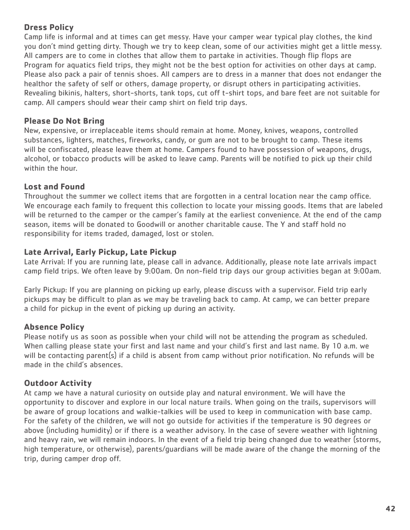# **Dress Policy**

Camp life is informal and at times can get messy. Have your camper wear typical play clothes, the kind you don't mind getting dirty. Though we try to keep clean, some of our activities might get a little messy. All campers are to come in clothes that allow them to partake in activities. Though flip flops are Program for aquatics field trips, they might not be the best option for activities on other days at camp. Please also pack a pair of tennis shoes. All campers are to dress in a manner that does not endanger the healthor the safety of self or others, damage property, or disrupt others in participating activities. Revealing bikinis, halters, short-shorts, tank tops, cut off t-shirt tops, and bare feet are not suitable for camp. All campers should wear their camp shirt on field trip days.

# **Please Do Not Bring**

New, expensive, or irreplaceable items should remain at home. Money, knives, weapons, controlled substances, lighters, matches, fireworks, candy, or gum are not to be brought to camp. These items will be confiscated, please leave them at home. Campers found to have possession of weapons, drugs, alcohol, or tobacco products will be asked to leave camp. Parents will be notified to pick up their child within the hour.

# **Lost and Found**

Throughout the summer we collect items that are forgotten in a central location near the camp office. We encourage each family to frequent this collection to locate your missing goods. Items that are labeled will be returned to the camper or the camper's family at the earliest convenience. At the end of the camp season, items will be donated to Goodwill or another charitable cause. The Y and staff hold no responsibility for items traded, damaged, lost or stolen.

# **Late Arrival, Early Pickup, Late Pickup**

Late Arrival: If you are running late, please call in advance. Additionally, please note late arrivals impact camp field trips. We often leave by 9:00am. On non-field trip days our group activities began at 9:00am.

Early Pickup: If you are planning on picking up early, please discuss with a supervisor. Field trip early pickups may be difficult to plan as we may be traveling back to camp. At camp, we can better prepare a child for pickup in the event of picking up during an activity.

# **Absence Policy**

Please notify us as soon as possible when your child will not be attending the program as scheduled. When calling please state your first and last name and your child's first and last name. By 10 a.m. we will be contacting parent(s) if a child is absent from camp without prior notification. No refunds will be made in the child's absences.

# **Outdoor Activity**

At camp we have a natural curiosity on outside play and natural environment. We will have the opportunity to discover and explore in our local nature trails. When going on the trails, supervisors will be aware of group locations and walkie-talkies will be used to keep in communication with base camp. For the safety of the children, we will not go outside for activities if the temperature is 90 degrees or above (including humidity) or if there is a weather advisory. In the case of severe weather with lightning and heavy rain, we will remain indoors. In the event of a field trip being changed due to weather (storms, high temperature, or otherwise), parents/guardians will be made aware of the change the morning of the trip, during camper drop off.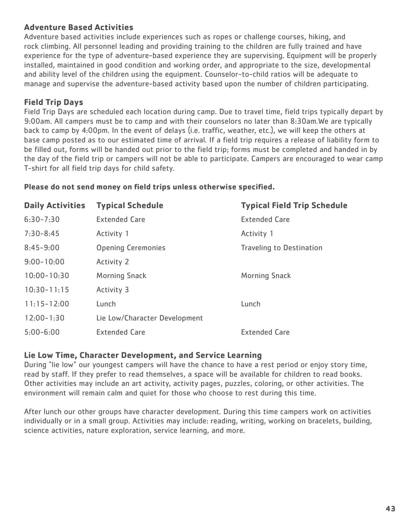# **Adventure Based Activities**

Adventure based activities include experiences such as ropes or challenge courses, hiking, and rock climbing. All personnel leading and providing training to the children are fully trained and have experience for the type of adventure-based experience they are supervising. Equipment will be properly installed, maintained in good condition and working order, and appropriate to the size, developmental and ability level of the children using the equipment. Counselor-to-child ratios will be adequate to manage and supervise the adventure-based activity based upon the number of children participating.

# **Field Trip Days**

Field Trip Days are scheduled each location during camp. Due to travel time, field trips typically depart by 9:00am. All campers must be to camp and with their counselors no later than 8:30am.We are typically back to camp by 4:00pm. In the event of delays (i.e. traffic, weather, etc.), we will keep the others at base camp posted as to our estimated time of arrival. If a field trip requires a release of liability form to be filled out, forms will be handed out prior to the field trip; forms must be completed and handed in by the day of the field trip or campers will not be able to participate. Campers are encouraged to wear camp T-shirt for all field trip days for child safety.

### **Please do not send money on field trips unless otherwise specified.**

| <b>Daily Activities</b> | <b>Typical Schedule</b>       | <b>Typical Field Trip Schedule</b> |
|-------------------------|-------------------------------|------------------------------------|
| $6:30 - 7:30$           | <b>Extended Care</b>          | <b>Extended Care</b>               |
| $7:30 - 8:45$           | Activity 1                    | Activity 1                         |
| $8:45 - 9:00$           | <b>Opening Ceremonies</b>     | <b>Traveling to Destination</b>    |
| $9:00 - 10:00$          | Activity 2                    |                                    |
| $10:00 - 10:30$         | Morning Snack                 | <b>Morning Snack</b>               |
| $10:30 - 11:15$         | Activity 3                    |                                    |
| $11:15 - 12:00$         | Lunch                         | Lunch                              |
| $12:00 - 1:30$          | Lie Low/Character Development |                                    |
| $5:00 - 6:00$           | <b>Extended Care</b>          | <b>Extended Care</b>               |

### **Lie Low Time, Character Development, and Service Learning**

During "lie low" our youngest campers will have the chance to have a rest period or enjoy story time, read by staff. If they prefer to read themselves, a space will be available for children to read books. Other activities may include an art activity, activity pages, puzzles, coloring, or other activities. The environment will remain calm and quiet for those who choose to rest during this time.

After lunch our other groups have character development. During this time campers work on activities individually or in a small group. Activities may include: reading, writing, working on bracelets, building, science activities, nature exploration, service learning, and more.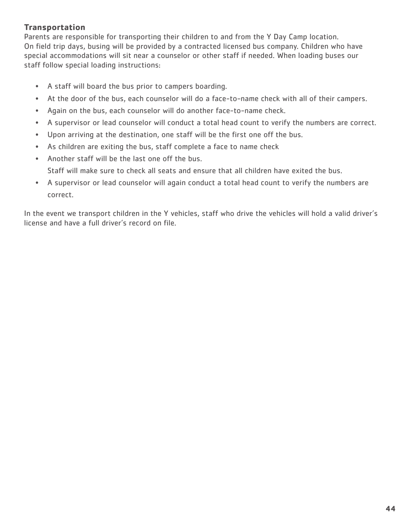# **Transportation**

Parents are responsible for transporting their children to and from the Y Day Camp location. On field trip days, busing will be provided by a contracted licensed bus company. Children who have special accommodations will sit near a counselor or other staff if needed. When loading buses our staff follow special loading instructions:

- A staff will board the bus prior to campers boarding.
- At the door of the bus, each counselor will do a face-to-name check with all of their campers.
- Again on the bus, each counselor will do another face-to-name check.
- A supervisor or lead counselor will conduct a total head count to verify the numbers are correct.
- Upon arriving at the destination, one staff will be the first one off the bus.
- As children are exiting the bus, staff complete a face to name check
- Another staff will be the last one off the bus. Staff will make sure to check all seats and ensure that all children have exited the bus.
- A supervisor or lead counselor will again conduct a total head count to verify the numbers are correct.

In the event we transport children in the Y vehicles, staff who drive the vehicles will hold a valid driver's license and have a full driver's record on file.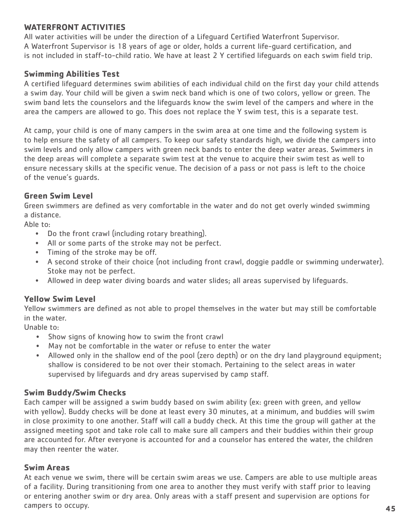### **WATERFRONT ACTIVITIES**

All water activities will be under the direction of a Lifeguard Certified Waterfront Supervisor. A Waterfront Supervisor is 18 years of age or older, holds a current life-guard certification, and is not included in staff-to-child ratio. We have at least 2 Y certified lifeguards on each swim field trip.

### **Swimming Abilities Test**

A certified lifeguard determines swim abilities of each individual child on the first day your child attends a swim day. Your child will be given a swim neck band which is one of two colors, yellow or green. The swim band lets the counselors and the lifeguards know the swim level of the campers and where in the area the campers are allowed to go. This does not replace the Y swim test, this is a separate test.

At camp, your child is one of many campers in the swim area at one time and the following system is to help ensure the safety of all campers. To keep our safety standards high, we divide the campers into swim levels and only allow campers with green neck bands to enter the deep water areas. Swimmers in the deep areas will complete a separate swim test at the venue to acquire their swim test as well to ensure necessary skills at the specific venue. The decision of a pass or not pass is left to the choice of the venue's guards.

### **Green Swim Level**

Green swimmers are defined as very comfortable in the water and do not get overly winded swimming a distance.

Able to:

- Do the front crawl (including rotary breathing).
- All or some parts of the stroke may not be perfect.
- Timing of the stroke may be off.
- A second stroke of their choice (not including front crawl, doggie paddle or swimming underwater). Stoke may not be perfect.
- Allowed in deep water diving boards and water slides; all areas supervised by lifeguards.

### **Yellow Swim Level**

Yellow swimmers are defined as not able to propel themselves in the water but may still be comfortable in the water.

Unable to:

- Show signs of knowing how to swim the front crawl
- May not be comfortable in the water or refuse to enter the water
- Allowed only in the shallow end of the pool (zero depth) or on the dry land playground equipment; shallow is considered to be not over their stomach. Pertaining to the select areas in water supervised by lifeguards and dry areas supervised by camp staff.

### **Swim Buddy/Swim Checks**

Each camper will be assigned a swim buddy based on swim ability (ex: green with green, and yellow with yellow). Buddy checks will be done at least every 30 minutes, at a minimum, and buddies will swim in close proximity to one another. Staff will call a buddy check. At this time the group will gather at the assigned meeting spot and take role call to make sure all campers and their buddies within their group are accounted for. After everyone is accounted for and a counselor has entered the water, the children may then reenter the water.

### **Swim Areas**

At each venue we swim, there will be certain swim areas we use. Campers are able to use multiple areas of a facility. During transitioning from one area to another they must verify with staff prior to leaving or entering another swim or dry area. Only areas with a staff present and supervision are options for campers to occupy.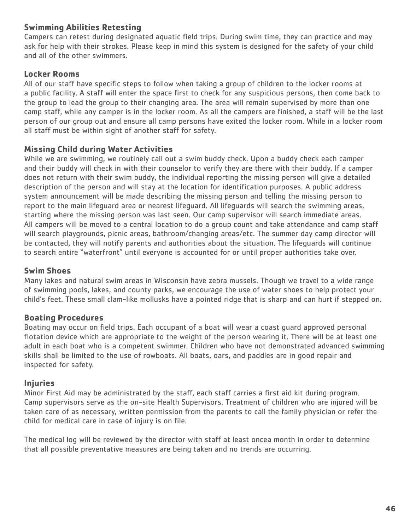# **Swimming Abilities Retesting**

Campers can retest during designated aquatic field trips. During swim time, they can practice and may ask for help with their strokes. Please keep in mind this system is designed for the safety of your child and all of the other swimmers.

# **Locker Rooms**

All of our staff have specific steps to follow when taking a group of children to the locker rooms at a public facility. A staff will enter the space first to check for any suspicious persons, then come back to the group to lead the group to their changing area. The area will remain supervised by more than one camp staff, while any camper is in the locker room. As all the campers are finished, a staff will be the last person of our group out and ensure all camp persons have exited the locker room. While in a locker room all staff must be within sight of another staff for safety.

# **Missing Child during Water Activities**

While we are swimming, we routinely call out a swim buddy check. Upon a buddy check each camper and their buddy will check in with their counselor to verify they are there with their buddy. If a camper does not return with their swim buddy, the individual reporting the missing person will give a detailed description of the person and will stay at the location for identification purposes. A public address system announcement will be made describing the missing person and telling the missing person to report to the main lifeguard area or nearest lifeguard. All lifeguards will search the swimming areas, starting where the missing person was last seen. Our camp supervisor will search immediate areas. All campers will be moved to a central location to do a group count and take attendance and camp staff will search playgrounds, picnic areas, bathroom/changing areas/etc. The summer day camp director will be contacted, they will notify parents and authorities about the situation. The lifeguards will continue to search entire "waterfront" until everyone is accounted for or until proper authorities take over.

### **Swim Shoes**

Many lakes and natural swim areas in Wisconsin have zebra mussels. Though we travel to a wide range of swimming pools, lakes, and county parks, we encourage the use of water shoes to help protect your child's feet. These small clam-like mollusks have a pointed ridge that is sharp and can hurt if stepped on.

### **Boating Procedures**

Boating may occur on field trips. Each occupant of a boat will wear a coast guard approved personal flotation device which are appropriate to the weight of the person wearing it. There will be at least one adult in each boat who is a competent swimmer. Children who have not demonstrated advanced swimming skills shall be limited to the use of rowboats. All boats, oars, and paddles are in good repair and inspected for safety.

### **Injuries**

Minor First Aid may be administrated by the staff, each staff carries a first aid kit during program. Camp supervisors serve as the on-site Health Supervisors. Treatment of children who are injured will be taken care of as necessary, written permission from the parents to call the family physician or refer the child for medical care in case of injury is on file.

The medical log will be reviewed by the director with staff at least oncea month in order to determine that all possible preventative measures are being taken and no trends are occurring.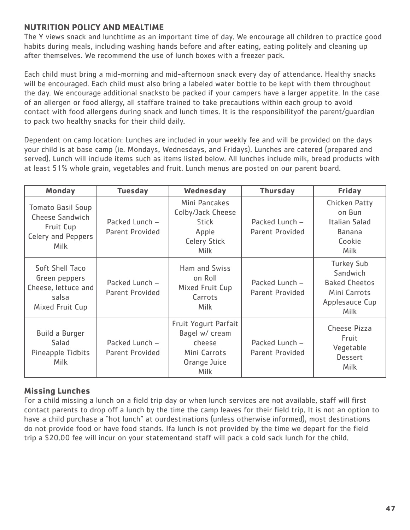# **NUTRITION POLICY AND MEALTIME**

The Y views snack and lunchtime as an important time of day. We encourage all children to practice good habits during meals, including washing hands before and after eating, eating politely and cleaning up after themselves. We recommend the use of lunch boxes with a freezer pack.

Each child must bring a mid-morning and mid-afternoon snack every day of attendance. Healthy snacks will be encouraged. Each child must also bring a labeled water bottle to be kept with them throughout the day. We encourage additional snacksto be packed if your campers have a larger appetite. In the case of an allergen or food allergy, all staffare trained to take precautions within each group to avoid contact with food allergens during snack and lunch times. It is the responsibilityof the parent/guardian to pack two healthy snacks for their child daily.

Dependent on camp location: Lunches are included in your weekly fee and will be provided on the days your child is at base camp (ie. Mondays, Wednesdays, and Fridays). Lunches are catered (prepared and served). Lunch will include items such as items listed below. All lunches include milk, bread products with at least 51% whole grain, vegetables and fruit. Lunch menus are posted on our parent board.

| <b>Monday</b>                                                                                               | <b>Tuesday</b>                           | Wednesday                                                                                              | <b>Thursday</b>                          | <b>Friday</b>                                                                                          |
|-------------------------------------------------------------------------------------------------------------|------------------------------------------|--------------------------------------------------------------------------------------------------------|------------------------------------------|--------------------------------------------------------------------------------------------------------|
| <b>Tomato Basil Soup</b><br><b>Cheese Sandwich</b><br>Fruit Cup<br><b>Celery and Peppers</b><br><b>Milk</b> | Packed Lunch -<br>Parent Provided        | Mini Pancakes<br>Colby/Jack Cheese<br><b>Stick</b><br>Apple<br><b>Celery Stick</b><br><b>Milk</b>      | Packed Lunch -<br><b>Parent Provided</b> | <b>Chicken Patty</b><br>on Bun<br>Italian Salad<br><b>Banana</b><br>Cookie<br><b>Milk</b>              |
| Soft Shell Taco<br>Green peppers<br>Cheese, lettuce and<br>salsa<br>Mixed Fruit Cup                         | Packed Lunch -<br><b>Parent Provided</b> | Ham and Swiss<br>on Roll<br>Mixed Fruit Cup<br>Carrots<br><b>Milk</b>                                  | Packed Lunch -<br><b>Parent Provided</b> | <b>Turkey Sub</b><br>Sandwich<br><b>Baked Cheetos</b><br>Mini Carrots<br>Applesauce Cup<br><b>Milk</b> |
| <b>Build a Burger</b><br>Salad<br>Pineapple Tidbits<br><b>Milk</b>                                          | Packed Lunch -<br>Parent Provided        | <b>Fruit Yogurt Parfait</b><br>Bagel w/ cream<br>cheese<br>Mini Carrots<br>Orange Juice<br><b>Milk</b> | Packed Lunch -<br><b>Parent Provided</b> | <b>Cheese Pizza</b><br>Fruit<br>Vegetable<br><b>Dessert</b><br>Milk                                    |

# **Missing Lunches**

For a child missing a lunch on a field trip day or when lunch services are not available, staff will first contact parents to drop off a lunch by the time the camp leaves for their field trip. It is not an option to have a child purchase a "hot lunch" at ourdestinations (unless otherwise informed), most destinations do not provide food or have food stands. Ifa lunch is not provided by the time we depart for the field trip a \$20.00 fee will incur on your statementand staff will pack a cold sack lunch for the child.